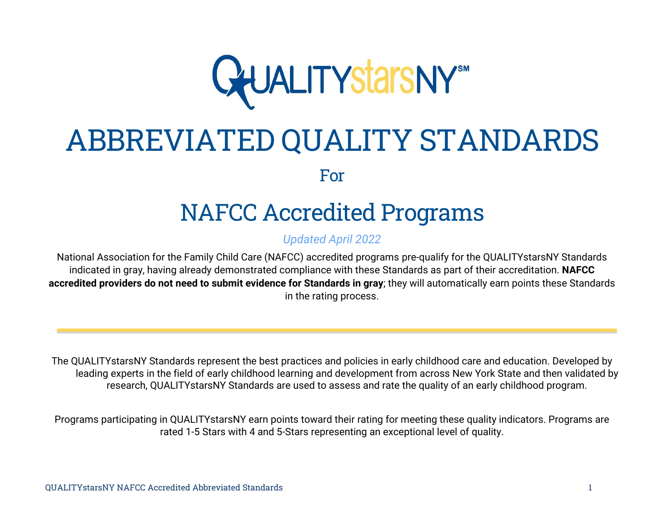

# ABBREVIATED QUALITY STANDARDS For

# NAFCC Accredited Programs

#### *Updated April 2022*

National Association for the Family Child Care (NAFCC) accredited programs pre-qualify for the QUALITYstarsNY Standards indicated in gray, having already demonstrated compliance with these Standards as part of their accreditation. **NAFCC accredited providers do not need to submit evidence for Standards in gray**; they will automatically earn points these Standards in the rating process.

The QUALITYstarsNY Standards represent the best practices and policies in early childhood care and education. Developed by leading experts in the field of early childhood learning and development from across New York State and then validated by research, QUALITYstarsNY Standards are used to assess and rate the quality of an early childhood program.

Programs participating in QUALITYstarsNY earn points toward their rating for meeting these quality indicators. Programs are rated 1-5 Stars with 4 and 5-Stars representing an exceptional level of quality.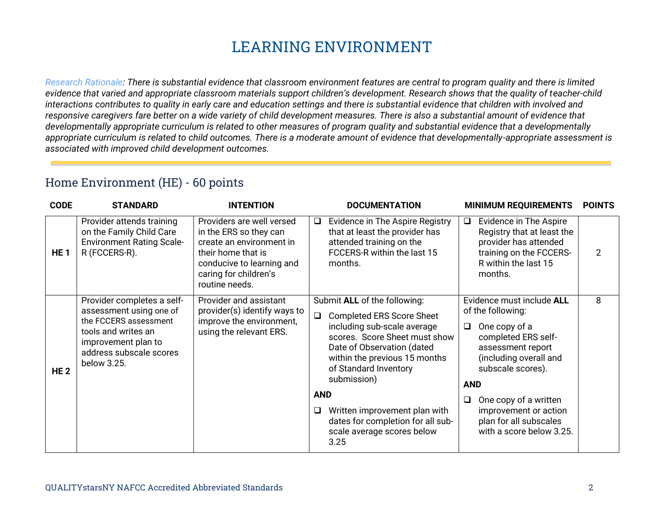# **LEARNING ENVIRONMENT**

*Research Rationale: There is substantial evidence that classroom environment features are central to program quality and there is limited*  evidence that varied and appropriate classroom materials support children's development. Research shows that the quality of teacher-child *interactions contributes to quality in early care and education settings and there is substantial evidence that children with involved and responsive caregivers fare better on a wide variety of child development measures. There is also a substantial amount of evidence that developmentally appropriate curriculum is related to other measures of program quality and substantial evidence that a developmentally appropriate curriculum is related to child outcomes. There is a moderate amount of evidence that developmentally-appropriate assessment is associated with improved child development outcomes.*

#### Home Environment (HE) - 60 points

| <b>CODE</b>     | <b>STANDARD</b>                                                                                                                                                        | <b>INTENTION</b>                                                                                                                                                              |                 | <b>DOCUMENTATION</b>                                                                                                                                                                                                                                                                                                                                |             | <b>MINIMUM REQUIREMENTS</b>                                                                                                                                                                                                                                                      | <b>POINTS</b> |
|-----------------|------------------------------------------------------------------------------------------------------------------------------------------------------------------------|-------------------------------------------------------------------------------------------------------------------------------------------------------------------------------|-----------------|-----------------------------------------------------------------------------------------------------------------------------------------------------------------------------------------------------------------------------------------------------------------------------------------------------------------------------------------------------|-------------|----------------------------------------------------------------------------------------------------------------------------------------------------------------------------------------------------------------------------------------------------------------------------------|---------------|
| HE <sub>1</sub> | Provider attends training<br>on the Family Child Care<br><b>Environment Rating Scale-</b><br>R (FCCERS-R).                                                             | Providers are well versed<br>in the ERS so they can<br>create an environment in<br>their home that is<br>conducive to learning and<br>caring for children's<br>routine needs. | $\Box$          | Evidence in The Aspire Registry<br>that at least the provider has<br>attended training on the<br>FCCERS-R within the last 15<br>months.                                                                                                                                                                                                             | $\Box$      | Evidence in The Aspire<br>Registry that at least the<br>provider has attended<br>training on the FCCERS-<br>R within the last 15<br>months.                                                                                                                                      | 2             |
| <b>HE2</b>      | Provider completes a self-<br>assessment using one of<br>the FCCERS assessment<br>tools and writes an<br>improvement plan to<br>address subscale scores<br>below 3.25. | Provider and assistant<br>provider(s) identify ways to<br>improve the environment,<br>using the relevant ERS.                                                                 | <b>AND</b><br>❏ | Submit ALL of the following:<br><b>Completed ERS Score Sheet</b><br>including sub-scale average<br>scores. Score Sheet must show<br>Date of Observation (dated<br>within the previous 15 months<br>of Standard Inventory<br>submission)<br>Written improvement plan with<br>dates for completion for all sub-<br>scale average scores below<br>3.25 | $\Box$<br>□ | Evidence must include ALL<br>of the following:<br>One copy of a<br>completed ERS self-<br>assessment report<br>(including overall and<br>subscale scores).<br><b>AND</b><br>One copy of a written<br>improvement or action<br>plan for all subscales<br>with a score below 3.25. | 8             |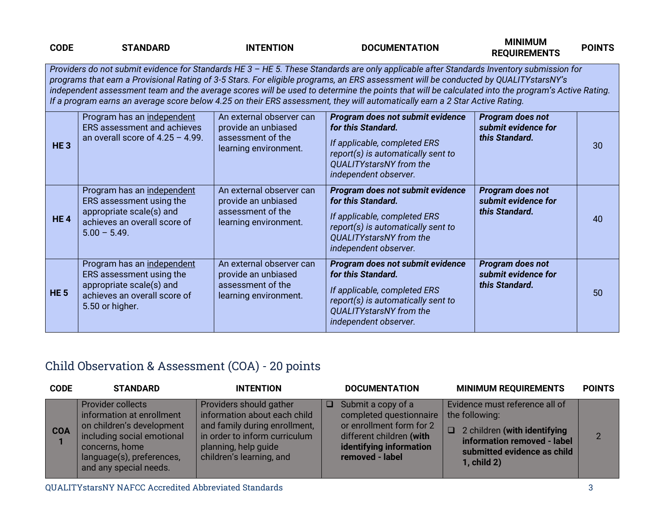| <b>CODE</b>     | <b>STANDARD</b>                                                                                                                       | <b>INTENTION</b>                                                                              | <b>DOCUMENTATION</b>                                                                                                                                                                                                                                                                                                                                                                                                                                                                                                                                                  | <b>MINIMUM</b><br><b>REQUIREMENTS</b>                     | <b>POINTS</b> |
|-----------------|---------------------------------------------------------------------------------------------------------------------------------------|-----------------------------------------------------------------------------------------------|-----------------------------------------------------------------------------------------------------------------------------------------------------------------------------------------------------------------------------------------------------------------------------------------------------------------------------------------------------------------------------------------------------------------------------------------------------------------------------------------------------------------------------------------------------------------------|-----------------------------------------------------------|---------------|
|                 |                                                                                                                                       |                                                                                               | Providers do not submit evidence for Standards HE 3 - HE 5. These Standards are only applicable after Standards Inventory submission for<br>programs that earn a Provisional Rating of 3-5 Stars. For eligible programs, an ERS assessment will be conducted by QUALITYstarsNY's<br>independent assessment team and the average scores will be used to determine the points that will be calculated into the program's Active Rating.<br>If a program earns an average score below 4.25 on their ERS assessment, they will automatically earn a 2 Star Active Rating. |                                                           |               |
| HE <sub>3</sub> | Program has an independent<br>ERS assessment and achieves<br>an overall score of $4.25 - 4.99$ .                                      | An external observer can<br>provide an unbiased<br>assessment of the<br>learning environment. | Program does not submit evidence<br>for this Standard.<br>If applicable, completed ERS<br>report(s) is automatically sent to<br>QUALITYstarsNY from the<br>independent observer.                                                                                                                                                                                                                                                                                                                                                                                      | Program does not<br>submit evidence for<br>this Standard. | 30            |
| <b>HE4</b>      | Program has an independent<br>ERS assessment using the<br>appropriate scale(s) and<br>achieves an overall score of<br>$5.00 - 5.49$ . | An external observer can<br>provide an unbiased<br>assessment of the<br>learning environment. | Program does not submit evidence<br>for this Standard.<br>If applicable, completed ERS<br>report(s) is automatically sent to<br><b>QUALITYstarsNY</b> from the<br>independent observer.                                                                                                                                                                                                                                                                                                                                                                               | Program does not<br>submit evidence for<br>this Standard. | 40            |
| <b>HE 5</b>     | Program has an independent<br>ERS assessment using the<br>appropriate scale(s) and<br>achieves an overall score of<br>5.50 or higher. | An external observer can<br>provide an unbiased<br>assessment of the<br>learning environment. | Program does not submit evidence<br>for this Standard.<br>If applicable, completed ERS<br>report(s) is automatically sent to<br><b>QUALITYstarsNY</b> from the<br>independent observer.                                                                                                                                                                                                                                                                                                                                                                               | Program does not<br>submit evidence for<br>this Standard. | 50            |

## Child Observation & Assessment (COA) - 20 points

| <b>CODE</b> | <b>STANDARD</b>                                                                                                                                                                           | <b>INTENTION</b>                                                                                                                                                              | <b>DOCUMENTATION</b>                                                                                                                                       | <b>MINIMUM REQUIREMENTS</b>                                                                                                                                          | <b>POINTS</b> |
|-------------|-------------------------------------------------------------------------------------------------------------------------------------------------------------------------------------------|-------------------------------------------------------------------------------------------------------------------------------------------------------------------------------|------------------------------------------------------------------------------------------------------------------------------------------------------------|----------------------------------------------------------------------------------------------------------------------------------------------------------------------|---------------|
| <b>COA</b>  | <b>Provider collects</b><br>information at enrollment<br>on children's development<br>including social emotional<br>concerns, home<br>language(s), preferences,<br>and any special needs. | Providers should gather<br>information about each child<br>and family during enrollment,<br>in order to inform curriculum<br>planning, help guide<br>children's learning, and | Submit a copy of a<br>□  <br>completed questionnaire<br>or enrollment form for 2<br>different children (with<br>identifying information<br>removed - label | Evidence must reference all of<br>the following:<br>$\Box$ 2 children (with identifying<br>information removed - label<br>submitted evidence as child<br>1, child 2) | $\mathcal{P}$ |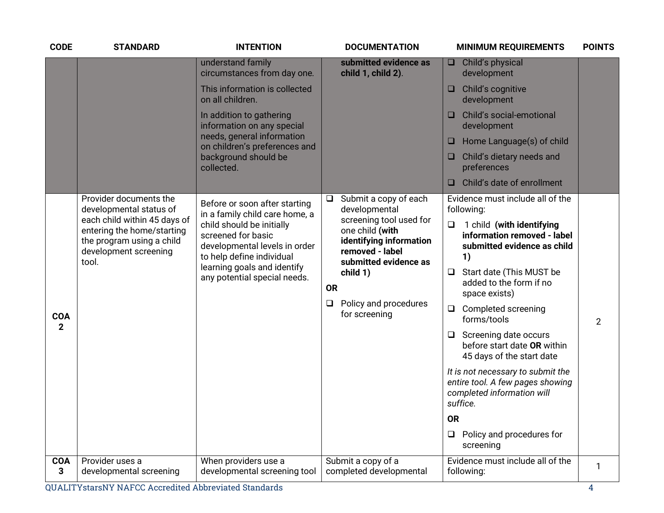| <b>CODE</b>                | <b>STANDARD</b>                                                                                                           | <b>INTENTION</b>                                                                                              | <b>DOCUMENTATION</b>                                                                                              | <b>MINIMUM REQUIREMENTS</b>                                                                                     | <b>POINTS</b>  |
|----------------------------|---------------------------------------------------------------------------------------------------------------------------|---------------------------------------------------------------------------------------------------------------|-------------------------------------------------------------------------------------------------------------------|-----------------------------------------------------------------------------------------------------------------|----------------|
|                            |                                                                                                                           | understand family<br>circumstances from day one.                                                              | submitted evidence as<br>child 1, child 2).                                                                       | Child's physical<br>$\Box$<br>development                                                                       |                |
|                            |                                                                                                                           | This information is collected<br>on all children.                                                             |                                                                                                                   | Child's cognitive<br>$\Box$<br>development                                                                      |                |
|                            |                                                                                                                           | In addition to gathering<br>information on any special                                                        |                                                                                                                   | Child's social-emotional<br>development                                                                         |                |
|                            |                                                                                                                           | needs, general information<br>on children's preferences and                                                   |                                                                                                                   | Home Language(s) of child<br>u                                                                                  |                |
|                            |                                                                                                                           | background should be<br>collected.                                                                            |                                                                                                                   | Child's dietary needs and<br>□<br>preferences                                                                   |                |
|                            |                                                                                                                           |                                                                                                               |                                                                                                                   | Child's date of enrollment<br>□                                                                                 |                |
|                            | Provider documents the<br>developmental status of                                                                         | Before or soon after starting<br>in a family child care home, a                                               | Submit a copy of each<br>$\Box$<br>developmental                                                                  | Evidence must include all of the<br>following:                                                                  |                |
|                            | each child within 45 days of<br>entering the home/starting<br>the program using a child<br>development screening<br>tool. | child should be initially<br>screened for basic<br>developmental levels in order<br>to help define individual | screening tool used for<br>one child (with<br>identifying information<br>removed - label<br>submitted evidence as | $\Box$<br>1 child (with identifying<br>information removed - label<br>submitted evidence as child<br>1)         |                |
|                            |                                                                                                                           | learning goals and identify<br>any potential special needs.                                                   | child 1)<br><b>OR</b>                                                                                             | Start date (This MUST be<br>ч<br>added to the form if no<br>space exists)                                       |                |
| <b>COA</b><br>$\mathbf{2}$ |                                                                                                                           |                                                                                                               | Policy and procedures<br>O<br>for screening                                                                       | Completed screening<br>$\Box$<br>forms/tools                                                                    | $\overline{2}$ |
|                            |                                                                                                                           |                                                                                                               |                                                                                                                   | Screening date occurs<br>□<br>before start date OR within<br>45 days of the start date                          |                |
|                            |                                                                                                                           |                                                                                                               |                                                                                                                   | It is not necessary to submit the<br>entire tool. A few pages showing<br>completed information will<br>suffice. |                |
|                            |                                                                                                                           |                                                                                                               |                                                                                                                   | <b>OR</b>                                                                                                       |                |
|                            |                                                                                                                           |                                                                                                               |                                                                                                                   | Policy and procedures for<br>$\Box$<br>screening                                                                |                |
| <b>COA</b><br>3            | Provider uses a<br>developmental screening                                                                                | When providers use a<br>developmental screening tool                                                          | Submit a copy of a<br>completed developmental                                                                     | Evidence must include all of the<br>following:                                                                  | 1              |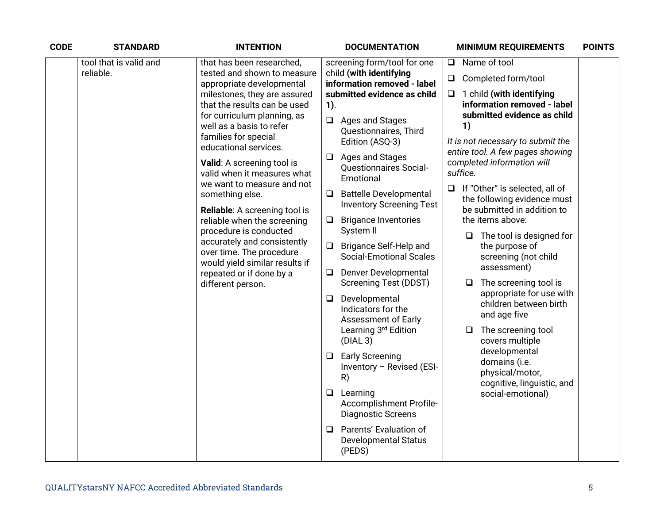| <b>CODE</b> | <b>STANDARD</b>        | <b>INTENTION</b>                                                                                                                                                                                                                                                                                                                                                                                                                                               | <b>DOCUMENTATION</b>                                                                                                                                                                                                                                                                                                                                                                                                                                                                                                                                                                                                                                                                                                                                           | <b>MINIMUM REQUIREMENTS</b>                                                                                                                                                                                                                                                                                                                                                                                                                                                                                                                                                                                                       | <b>POINTS</b> |
|-------------|------------------------|----------------------------------------------------------------------------------------------------------------------------------------------------------------------------------------------------------------------------------------------------------------------------------------------------------------------------------------------------------------------------------------------------------------------------------------------------------------|----------------------------------------------------------------------------------------------------------------------------------------------------------------------------------------------------------------------------------------------------------------------------------------------------------------------------------------------------------------------------------------------------------------------------------------------------------------------------------------------------------------------------------------------------------------------------------------------------------------------------------------------------------------------------------------------------------------------------------------------------------------|-----------------------------------------------------------------------------------------------------------------------------------------------------------------------------------------------------------------------------------------------------------------------------------------------------------------------------------------------------------------------------------------------------------------------------------------------------------------------------------------------------------------------------------------------------------------------------------------------------------------------------------|---------------|
|             | tool that is valid and | that has been researched,                                                                                                                                                                                                                                                                                                                                                                                                                                      | screening form/tool for one                                                                                                                                                                                                                                                                                                                                                                                                                                                                                                                                                                                                                                                                                                                                    | Name of tool<br>$\Box$                                                                                                                                                                                                                                                                                                                                                                                                                                                                                                                                                                                                            |               |
|             | reliable.              | tested and shown to measure<br>appropriate developmental                                                                                                                                                                                                                                                                                                                                                                                                       | child (with identifying<br>information removed - label                                                                                                                                                                                                                                                                                                                                                                                                                                                                                                                                                                                                                                                                                                         |                                                                                                                                                                                                                                                                                                                                                                                                                                                                                                                                                                                                                                   |               |
|             |                        | milestones, they are assured<br>that the results can be used                                                                                                                                                                                                                                                                                                                                                                                                   | submitted evidence as child                                                                                                                                                                                                                                                                                                                                                                                                                                                                                                                                                                                                                                                                                                                                    | $\Box$<br>1 child (with identifying<br>information removed - label                                                                                                                                                                                                                                                                                                                                                                                                                                                                                                                                                                |               |
|             |                        | for curriculum planning, as<br>well as a basis to refer<br>families for special<br>educational services.<br>Valid: A screening tool is<br>valid when it measures what<br>we want to measure and not<br>something else.<br>Reliable: A screening tool is<br>reliable when the screening<br>procedure is conducted<br>accurately and consistently<br>over time. The procedure<br>would yield similar results if<br>repeated or if done by a<br>different person. | $1$ ).<br>$\Box$ Ages and Stages<br>Questionnaires, Third<br>Edition (ASQ-3)<br>$\Box$ Ages and Stages<br><b>Questionnaires Social-</b><br>Emotional<br><b>Battelle Developmental</b><br>$\Box$<br><b>Inventory Screening Test</b><br><b>Brigance Inventories</b><br>□<br>System II<br><b>Brigance Self-Help and</b><br>$\Box$<br><b>Social-Emotional Scales</b><br>Denver Developmental<br>Q.<br><b>Screening Test (DDST)</b><br>$\Box$ Developmental<br>Indicators for the<br><b>Assessment of Early</b><br>Learning 3rd Edition<br>(DIAL 3)<br>$\Box$ Early Screening<br>Inventory - Revised (ESI-<br>R)<br>$\Box$ Learning<br>Accomplishment Profile-<br><b>Diagnostic Screens</b><br>Parents' Evaluation of<br>❏<br><b>Developmental Status</b><br>(PEDS) | submitted evidence as child<br>1)<br>It is not necessary to submit the<br>entire tool. A few pages showing<br>completed information will<br>suffice.<br>If "Other" is selected, all of<br>$\Box$<br>the following evidence must<br>be submitted in addition to<br>the items above:<br>The tool is designed for<br>the purpose of<br>screening (not child<br>assessment)<br>The screening tool is<br>❏<br>appropriate for use with<br>children between birth<br>and age five<br>The screening tool<br>❏<br>covers multiple<br>developmental<br>domains (i.e.<br>physical/motor,<br>cognitive, linguistic, and<br>social-emotional) |               |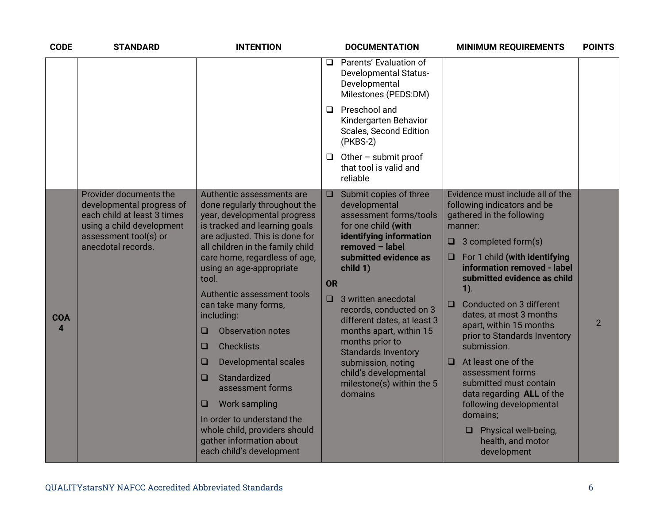| <b>CODE</b>                           | <b>STANDARD</b>                                                                                                                                                | <b>INTENTION</b>                                                                                                                                                                                                                                                                                                                                                                                                                                                                                                                                                                                                                                  | <b>DOCUMENTATION</b>                                                                                                                                                                                                                                                                                                                                                                                                                                                                 | <b>MINIMUM REQUIREMENTS</b>                                                                                                                                                                                                                                                                                                                                                                                                                                                                                                                                                          | <b>POINTS</b>  |
|---------------------------------------|----------------------------------------------------------------------------------------------------------------------------------------------------------------|---------------------------------------------------------------------------------------------------------------------------------------------------------------------------------------------------------------------------------------------------------------------------------------------------------------------------------------------------------------------------------------------------------------------------------------------------------------------------------------------------------------------------------------------------------------------------------------------------------------------------------------------------|--------------------------------------------------------------------------------------------------------------------------------------------------------------------------------------------------------------------------------------------------------------------------------------------------------------------------------------------------------------------------------------------------------------------------------------------------------------------------------------|--------------------------------------------------------------------------------------------------------------------------------------------------------------------------------------------------------------------------------------------------------------------------------------------------------------------------------------------------------------------------------------------------------------------------------------------------------------------------------------------------------------------------------------------------------------------------------------|----------------|
|                                       |                                                                                                                                                                |                                                                                                                                                                                                                                                                                                                                                                                                                                                                                                                                                                                                                                                   | Parents' Evaluation of<br>❏<br><b>Developmental Status-</b><br>Developmental<br>Milestones (PEDS:DM)                                                                                                                                                                                                                                                                                                                                                                                 |                                                                                                                                                                                                                                                                                                                                                                                                                                                                                                                                                                                      |                |
|                                       |                                                                                                                                                                |                                                                                                                                                                                                                                                                                                                                                                                                                                                                                                                                                                                                                                                   | Preschool and<br>□<br>Kindergarten Behavior<br><b>Scales, Second Edition</b><br>$(PKBS-2)$                                                                                                                                                                                                                                                                                                                                                                                           |                                                                                                                                                                                                                                                                                                                                                                                                                                                                                                                                                                                      |                |
|                                       |                                                                                                                                                                |                                                                                                                                                                                                                                                                                                                                                                                                                                                                                                                                                                                                                                                   | Other - submit proof<br>Q.<br>that tool is valid and<br>reliable                                                                                                                                                                                                                                                                                                                                                                                                                     |                                                                                                                                                                                                                                                                                                                                                                                                                                                                                                                                                                                      |                |
| <b>COA</b><br>$\overline{\mathbf{A}}$ | Provider documents the<br>developmental progress of<br>each child at least 3 times<br>using a child development<br>assessment tool(s) or<br>anecdotal records. | Authentic assessments are<br>done regularly throughout the<br>year, developmental progress<br>is tracked and learning goals<br>are adjusted. This is done for<br>all children in the family child<br>care home, regardless of age,<br>using an age-appropriate<br>tool.<br>Authentic assessment tools<br>can take many forms,<br>including:<br><b>Observation notes</b><br>□<br><b>Checklists</b><br>□<br>$\Box$<br><b>Developmental scales</b><br>Standardized<br>□<br>assessment forms<br><b>Work sampling</b><br>$\Box$<br>In order to understand the<br>whole child, providers should<br>gather information about<br>each child's development | Submit copies of three<br>$\Box$<br>developmental<br>assessment forms/tools<br>for one child (with<br>identifying information<br>removed - label<br>submitted evidence as<br>O<br>child 1)<br><b>OR</b><br>3 written anecdotal<br>$\Box$<br>$\Box$<br>records, conducted on 3<br>different dates, at least 3<br>months apart, within 15<br>months prior to<br><b>Standards Inventory</b><br>submission, noting<br>O<br>child's developmental<br>milestone(s) within the 5<br>domains | Evidence must include all of the<br>following indicators and be<br>gathered in the following<br>manner:<br>$\Box$ 3 completed form(s)<br>For 1 child (with identifying<br>information removed - label<br>submitted evidence as child<br>$1$ ).<br>Conducted on 3 different<br>dates, at most 3 months<br>apart, within 15 months<br>prior to Standards Inventory<br>submission.<br>At least one of the<br>assessment forms<br>submitted must contain<br>data regarding ALL of the<br>following developmental<br>domains;<br>Physical well-being,<br>health, and motor<br>development | $\overline{2}$ |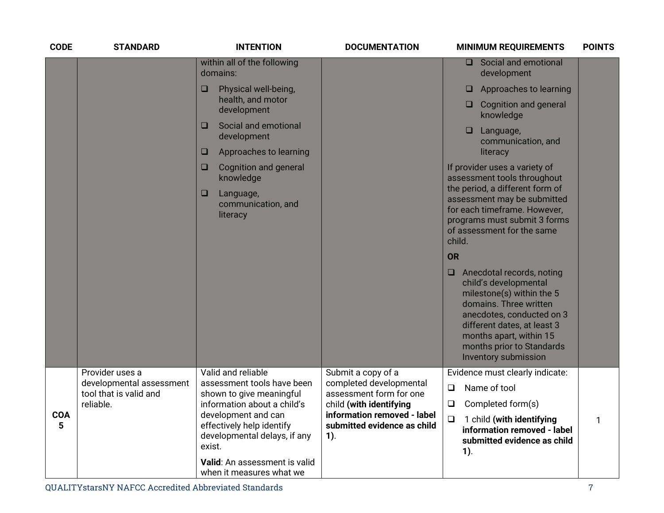| <b>CODE</b>     | <b>STANDARD</b>                             | <b>INTENTION</b>                                                                                                          | <b>DOCUMENTATION</b>                                                                            | <b>MINIMUM REQUIREMENTS</b>                                                                                                                                                                                                                                 | <b>POINTS</b> |
|-----------------|---------------------------------------------|---------------------------------------------------------------------------------------------------------------------------|-------------------------------------------------------------------------------------------------|-------------------------------------------------------------------------------------------------------------------------------------------------------------------------------------------------------------------------------------------------------------|---------------|
|                 |                                             | within all of the following<br>domains:                                                                                   |                                                                                                 | Social and emotional<br><b>□</b><br>development                                                                                                                                                                                                             |               |
|                 |                                             | Physical well-being,<br>□                                                                                                 |                                                                                                 | Approaches to learning<br>O                                                                                                                                                                                                                                 |               |
|                 |                                             | health, and motor<br>development                                                                                          |                                                                                                 | <b>Cognition and general</b><br>o.<br>knowledge                                                                                                                                                                                                             |               |
|                 |                                             | Social and emotional<br>$\Box$<br>development                                                                             |                                                                                                 | ❏<br>Language,<br>communication, and                                                                                                                                                                                                                        |               |
|                 |                                             | Approaches to learning<br>$\Box$                                                                                          |                                                                                                 | literacy                                                                                                                                                                                                                                                    |               |
|                 |                                             | Cognition and general<br>$\Box$<br>knowledge                                                                              |                                                                                                 | If provider uses a variety of<br>assessment tools throughout                                                                                                                                                                                                |               |
|                 |                                             | $\Box$<br>Language,<br>communication, and<br>literacy                                                                     |                                                                                                 | the period, a different form of<br>assessment may be submitted<br>for each timeframe. However,<br>programs must submit 3 forms<br>of assessment for the same<br>child.                                                                                      |               |
|                 |                                             |                                                                                                                           |                                                                                                 | <b>OR</b>                                                                                                                                                                                                                                                   |               |
|                 |                                             |                                                                                                                           |                                                                                                 | Anecdotal records, noting<br>O.<br>child's developmental<br>milestone(s) within the 5<br>domains. Three written<br>anecdotes, conducted on 3<br>different dates, at least 3<br>months apart, within 15<br>months prior to Standards<br>Inventory submission |               |
|                 | Provider uses a<br>developmental assessment | Valid and reliable<br>assessment tools have been                                                                          | Submit a copy of a<br>completed developmental                                                   | Evidence must clearly indicate:                                                                                                                                                                                                                             |               |
|                 | tool that is valid and                      | shown to give meaningful                                                                                                  | assessment form for one                                                                         | Name of tool<br>$\Box$                                                                                                                                                                                                                                      |               |
| <b>COA</b><br>5 | reliable.                                   | information about a child's<br>development and can<br>effectively help identify<br>developmental delays, if any<br>exist. | child (with identifying<br>information removed - label<br>submitted evidence as child<br>$1$ ). | $\Box$<br>Completed form(s)<br>$\Box$<br>1 child (with identifying<br>information removed - label<br>submitted evidence as child<br>$1$ ).                                                                                                                  | $\mathbf{1}$  |
|                 |                                             | Valid: An assessment is valid<br>when it measures what we                                                                 |                                                                                                 |                                                                                                                                                                                                                                                             |               |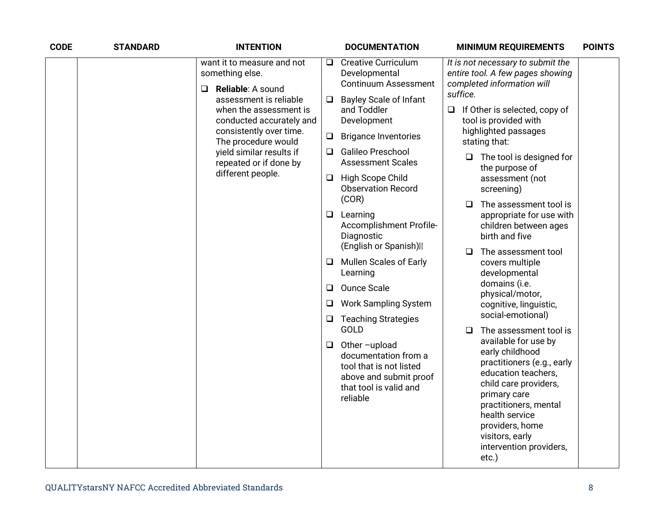| <b>CODE</b> | <b>STANDARD</b> | <b>INTENTION</b>                                                                                                                                                                                                                                                                          |                                                                                                                                 | <b>DOCUMENTATION</b>                                                                                                                                                                                                                                                                                                                                                                                                                                                                                            |                                                                                                                                                                                                                                                   | <b>MINIMUM REQUIREMENTS</b>                                                                                                                                                                                                                                                                                                                                                                                                                                                                                                                                           | <b>POINTS</b> |
|-------------|-----------------|-------------------------------------------------------------------------------------------------------------------------------------------------------------------------------------------------------------------------------------------------------------------------------------------|---------------------------------------------------------------------------------------------------------------------------------|-----------------------------------------------------------------------------------------------------------------------------------------------------------------------------------------------------------------------------------------------------------------------------------------------------------------------------------------------------------------------------------------------------------------------------------------------------------------------------------------------------------------|---------------------------------------------------------------------------------------------------------------------------------------------------------------------------------------------------------------------------------------------------|-----------------------------------------------------------------------------------------------------------------------------------------------------------------------------------------------------------------------------------------------------------------------------------------------------------------------------------------------------------------------------------------------------------------------------------------------------------------------------------------------------------------------------------------------------------------------|---------------|
|             |                 | want it to measure and not<br>something else.<br>Reliable: A sound<br>$\Box$<br>assessment is reliable<br>when the assessment is<br>conducted accurately and<br>consistently over time.<br>The procedure would<br>yield similar results if<br>repeated or if done by<br>different people. | Q.<br>❏<br>$\Box$<br>Q.<br>⊔<br>Q.<br>u<br>□<br>❏<br>⊔                                                                          | <b>Creative Curriculum</b><br>Developmental<br><b>Continuum Assessment</b><br><b>Bayley Scale of Infant</b><br>and Toddler<br>Development<br><b>Brigance Inventories</b><br><b>Galileo Preschool</b><br><b>Assessment Scales</b><br>High Scope Child<br><b>Observation Record</b><br>(COR)<br>Learning<br>Accomplishment Profile-<br>Diagnostic<br>(English or Spanish)<br><b>Mullen Scales of Early</b><br>Learning<br><b>Ounce Scale</b><br><b>Work Sampling System</b><br><b>Teaching Strategies</b><br>GOLD | suffice.<br>□<br>$\Box$<br>□<br>$\Box$                                                                                                                                                                                                            | It is not necessary to submit the<br>entire tool. A few pages showing<br>completed information will<br>$\Box$ If Other is selected, copy of<br>tool is provided with<br>highlighted passages<br>stating that:<br>The tool is designed for<br>the purpose of<br>assessment (not<br>screening)<br>The assessment tool is<br>appropriate for use with<br>children between ages<br>birth and five<br>The assessment tool<br>covers multiple<br>developmental<br>domains (i.e.<br>physical/motor,<br>cognitive, linguistic,<br>social-emotional)<br>The assessment tool is |               |
|             |                 | $\Box$                                                                                                                                                                                                                                                                                    | Other-upload<br>documentation from a<br>tool that is not listed<br>above and submit proof<br>that tool is valid and<br>reliable |                                                                                                                                                                                                                                                                                                                                                                                                                                                                                                                 | available for use by<br>early childhood<br>practitioners (e.g., early<br>education teachers,<br>child care providers,<br>primary care<br>practitioners, mental<br>health service<br>providers, home<br>visitors, early<br>intervention providers, |                                                                                                                                                                                                                                                                                                                                                                                                                                                                                                                                                                       |               |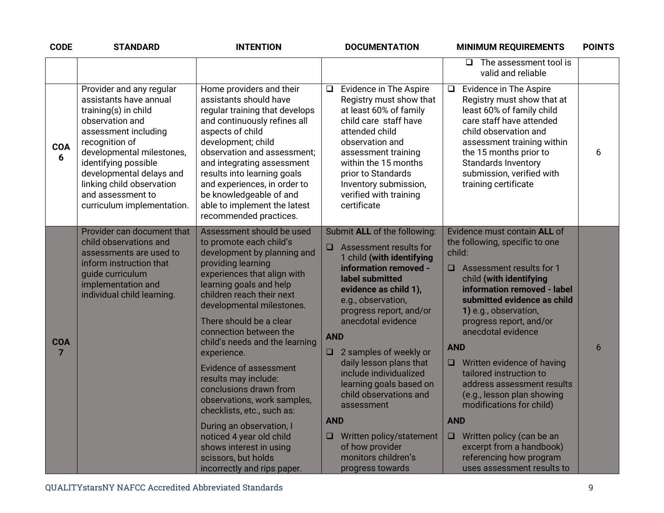| <b>CODE</b>                  | <b>STANDARD</b>                                                                                                                                                                                                                                                                                          | <b>INTENTION</b>                                                                                                                                                                                                                                                                                                                                                                                                                                                                                                                                                                                                             | <b>DOCUMENTATION</b>                                                                                                                                                                                                                                                                                                                                                                                                                                                                                                             | <b>MINIMUM REQUIREMENTS</b>                                                                                                                                                                                                                                                                                                                                                                                                                                                                                                                                                                    | <b>POINTS</b> |
|------------------------------|----------------------------------------------------------------------------------------------------------------------------------------------------------------------------------------------------------------------------------------------------------------------------------------------------------|------------------------------------------------------------------------------------------------------------------------------------------------------------------------------------------------------------------------------------------------------------------------------------------------------------------------------------------------------------------------------------------------------------------------------------------------------------------------------------------------------------------------------------------------------------------------------------------------------------------------------|----------------------------------------------------------------------------------------------------------------------------------------------------------------------------------------------------------------------------------------------------------------------------------------------------------------------------------------------------------------------------------------------------------------------------------------------------------------------------------------------------------------------------------|------------------------------------------------------------------------------------------------------------------------------------------------------------------------------------------------------------------------------------------------------------------------------------------------------------------------------------------------------------------------------------------------------------------------------------------------------------------------------------------------------------------------------------------------------------------------------------------------|---------------|
|                              |                                                                                                                                                                                                                                                                                                          |                                                                                                                                                                                                                                                                                                                                                                                                                                                                                                                                                                                                                              |                                                                                                                                                                                                                                                                                                                                                                                                                                                                                                                                  | The assessment tool is<br>$\Box$<br>valid and reliable                                                                                                                                                                                                                                                                                                                                                                                                                                                                                                                                         |               |
| <b>COA</b><br>6              | Provider and any regular<br>assistants have annual<br>training(s) in child<br>observation and<br>assessment including<br>recognition of<br>developmental milestones,<br>identifying possible<br>developmental delays and<br>linking child observation<br>and assessment to<br>curriculum implementation. | Home providers and their<br>assistants should have<br>regular training that develops<br>and continuously refines all<br>aspects of child<br>development; child<br>observation and assessment;<br>and integrating assessment<br>results into learning goals<br>and experiences, in order to<br>be knowledgeable of and<br>able to implement the latest<br>recommended practices.                                                                                                                                                                                                                                              | Evidence in The Aspire<br>$\Box$<br>Registry must show that<br>at least 60% of family<br>child care staff have<br>attended child<br>observation and<br>assessment training<br>within the 15 months<br>prior to Standards<br>Inventory submission,<br>verified with training<br>certificate                                                                                                                                                                                                                                       | Evidence in The Aspire<br>$\Box$<br>Registry must show that at<br>least 60% of family child<br>care staff have attended<br>child observation and<br>assessment training within<br>the 15 months prior to<br><b>Standards Inventory</b><br>submission, verified with<br>training certificate                                                                                                                                                                                                                                                                                                    | 6             |
| <b>COA</b><br>$\overline{7}$ | Provider can document that<br>child observations and<br>assessments are used to<br>inform instruction that<br>guide curriculum<br>implementation and<br>individual child learning.                                                                                                                       | Assessment should be used<br>to promote each child's<br>development by planning and<br>providing learning<br>experiences that align with<br>learning goals and help<br>children reach their next<br>developmental milestones.<br>There should be a clear<br>connection between the<br>child's needs and the learning<br>experience.<br><b>Evidence of assessment</b><br>results may include:<br>conclusions drawn from<br>observations, work samples,<br>checklists, etc., such as:<br>During an observation, I<br>noticed 4 year old child<br>shows interest in using<br>scissors, but holds<br>incorrectly and rips paper. | Submit ALL of the following:<br>Assessment results for<br>$\Box$<br>1 child (with identifying<br>information removed -<br>label submitted<br>evidence as child 1),<br>e.g., observation,<br>progress report, and/or<br>anecdotal evidence<br><b>AND</b><br>2 samples of weekly or<br>$\Box$<br>daily lesson plans that<br>include individualized<br>learning goals based on<br>child observations and<br>assessment<br><b>AND</b><br>Written policy/statement<br>⊔<br>of how provider<br>monitors children's<br>progress towards | Evidence must contain ALL of<br>the following, specific to one<br>child:<br>$\Box$ Assessment results for 1<br>child (with identifying<br>information removed - label<br>submitted evidence as child<br>1) e.g., observation,<br>progress report, and/or<br>anecdotal evidence<br><b>AND</b><br>$\Box$ Written evidence of having<br>tailored instruction to<br>address assessment results<br>(e.g., lesson plan showing<br>modifications for child)<br><b>AND</b><br>Written policy (can be an<br>$\Box$<br>excerpt from a handbook)<br>referencing how program<br>uses assessment results to | 6             |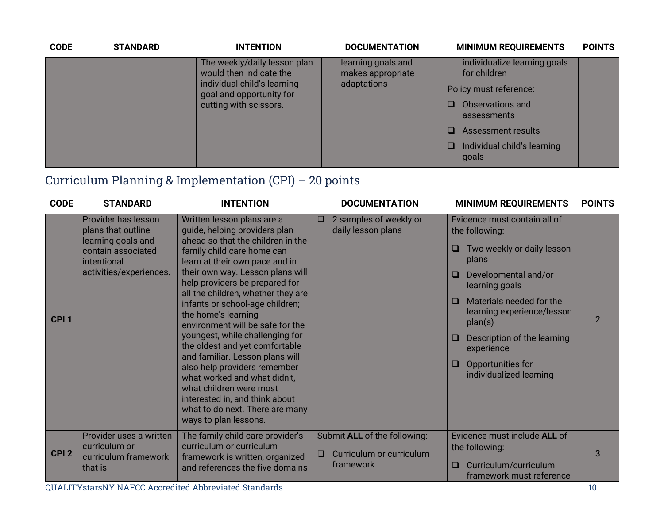| <b>CODE</b> | <b>STANDARD</b> | <b>INTENTION</b>                                        | <b>DOCUMENTATION</b>                    | <b>MINIMUM REQUIREMENTS</b>                  | <b>POINTS</b> |
|-------------|-----------------|---------------------------------------------------------|-----------------------------------------|----------------------------------------------|---------------|
|             |                 | The weekly/daily lesson plan<br>would then indicate the | learning goals and<br>makes appropriate | individualize learning goals<br>for children |               |
|             |                 | individual child's learning<br>adaptations              | goal and opportunity for                | Policy must reference:                       |               |
|             |                 | cutting with scissors.                                  |                                         | Observations and<br>assessments              |               |
|             |                 | <b>Assessment results</b>                               |                                         |                                              |               |
|             |                 |                                                         |                                         | Individual child's learning<br>goals         |               |

## Curriculum Planning & Implementation (CPI) – 20 points

| <b>CODE</b>      | <b>STANDARD</b>                                                                                                                 | <b>INTENTION</b>                                                                                                                                                                                                                                                                                                                                                                                                                                                                                                                                                                                                                                                            | <b>DOCUMENTATION</b>                                                            | <b>MINIMUM REQUIREMENTS</b>                                                                                                                                                                                                                                                                                                | <b>POINTS</b>  |
|------------------|---------------------------------------------------------------------------------------------------------------------------------|-----------------------------------------------------------------------------------------------------------------------------------------------------------------------------------------------------------------------------------------------------------------------------------------------------------------------------------------------------------------------------------------------------------------------------------------------------------------------------------------------------------------------------------------------------------------------------------------------------------------------------------------------------------------------------|---------------------------------------------------------------------------------|----------------------------------------------------------------------------------------------------------------------------------------------------------------------------------------------------------------------------------------------------------------------------------------------------------------------------|----------------|
| CPI <sub>1</sub> | Provider has lesson<br>plans that outline<br>learning goals and<br>contain associated<br>intentional<br>activities/experiences. | Written lesson plans are a<br>guide, helping providers plan<br>ahead so that the children in the<br>family child care home can<br>learn at their own pace and in<br>their own way. Lesson plans will<br>help providers be prepared for<br>all the children, whether they are<br>infants or school-age children;<br>the home's learning<br>environment will be safe for the<br>youngest, while challenging for<br>the oldest and yet comfortable<br>and familiar. Lesson plans will<br>also help providers remember<br>what worked and what didn't,<br>what children were most<br>interested in, and think about<br>what to do next. There are many<br>ways to plan lessons. | 2 samples of weekly or<br>□<br>daily lesson plans                               | Evidence must contain all of<br>the following:<br>Two weekly or daily lesson<br>⊔<br>plans<br>Developmental and/or<br>□<br>learning goals<br>Materials needed for the<br>□<br>learning experience/lesson<br>plan(s)<br>Description of the learning<br>experience<br>Opportunities for<br>$\Box$<br>individualized learning | $\overline{2}$ |
| CPI <sub>2</sub> | Provider uses a written<br>curriculum or<br>curriculum framework<br>that is                                                     | The family child care provider's<br>curriculum or curriculum<br>framework is written, organized<br>and references the five domains                                                                                                                                                                                                                                                                                                                                                                                                                                                                                                                                          | Submit ALL of the following:<br>Curriculum or curriculum<br>$\Box$<br>framework | Evidence must include ALL of<br>the following:<br>Curriculum/curriculum<br>□<br>framework must reference                                                                                                                                                                                                                   | 3              |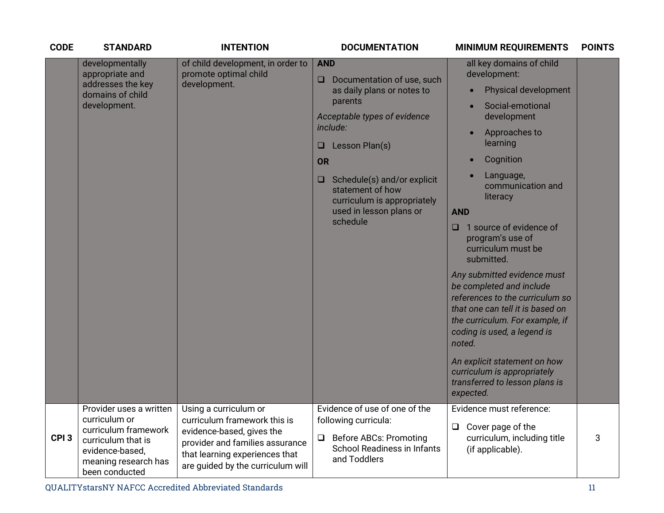| <b>CODE</b>      | <b>STANDARD</b>                                                                                                                                     | <b>INTENTION</b>                                                                                                                                                                             | <b>DOCUMENTATION</b>                                                                                                                                                                                                                                                                                                                                                                                | <b>MINIMUM REQUIREMENTS</b><br><b>POINTS</b>                                                                                                                                                                                                                                                                                                                                                                                                                                                                                                                 |
|------------------|-----------------------------------------------------------------------------------------------------------------------------------------------------|----------------------------------------------------------------------------------------------------------------------------------------------------------------------------------------------|-----------------------------------------------------------------------------------------------------------------------------------------------------------------------------------------------------------------------------------------------------------------------------------------------------------------------------------------------------------------------------------------------------|--------------------------------------------------------------------------------------------------------------------------------------------------------------------------------------------------------------------------------------------------------------------------------------------------------------------------------------------------------------------------------------------------------------------------------------------------------------------------------------------------------------------------------------------------------------|
|                  | developmentally<br>appropriate and<br>addresses the key<br>domains of child<br>development.                                                         | of child development, in order to<br>promote optimal child<br>development.                                                                                                                   | <b>AND</b><br>development:<br>Documentation of use, such<br>O<br>as daily plans or notes to<br>$\bullet$<br>parents<br>Acceptable types of evidence<br>include:<br>Lesson Plan(s)<br>$\Box$<br><b>OR</b><br>Schedule(s) and/or explicit<br>$\Box$<br>statement of how<br>curriculum is appropriately<br>used in lesson plans or<br><b>AND</b><br>schedule<br>□<br>submitted.<br>noted.<br>expected. | all key domains of child<br><b>Physical development</b><br>Social-emotional<br>development<br>Approaches to<br>learning<br>Cognition<br>Language,<br>communication and<br>literacy<br>1 source of evidence of<br>program's use of<br>curriculum must be<br>Any submitted evidence must<br>be completed and include<br>references to the curriculum so<br>that one can tell it is based on<br>the curriculum. For example, if<br>coding is used, a legend is<br>An explicit statement on how<br>curriculum is appropriately<br>transferred to lesson plans is |
| CPI <sub>3</sub> | Provider uses a written<br>curriculum or<br>curriculum framework<br>curriculum that is<br>evidence-based,<br>meaning research has<br>been conducted | Using a curriculum or<br>curriculum framework this is<br>evidence-based, gives the<br>provider and families assurance<br>that learning experiences that<br>are guided by the curriculum will | Evidence of use of one of the<br>following curricula:<br>$\Box$<br><b>Before ABCs: Promoting</b><br>□<br>School Readiness in Infants<br>(if applicable).<br>and Toddlers                                                                                                                                                                                                                            | Evidence must reference:<br>Cover page of the<br>curriculum, including title<br>3                                                                                                                                                                                                                                                                                                                                                                                                                                                                            |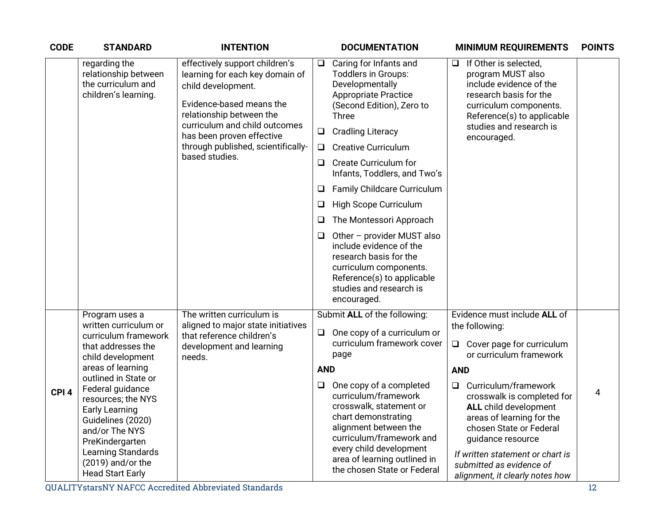| <b>CODE</b>      | <b>STANDARD</b>                                                                                                                                                                                   | <b>INTENTION</b>                                                                                                                                |            | <b>DOCUMENTATION</b>                                                                                                                                                                                                                             |            | <b>MINIMUM REQUIREMENTS</b>                                                                                                                                                                                                                                        | <b>POINTS</b> |
|------------------|---------------------------------------------------------------------------------------------------------------------------------------------------------------------------------------------------|-------------------------------------------------------------------------------------------------------------------------------------------------|------------|--------------------------------------------------------------------------------------------------------------------------------------------------------------------------------------------------------------------------------------------------|------------|--------------------------------------------------------------------------------------------------------------------------------------------------------------------------------------------------------------------------------------------------------------------|---------------|
|                  | regarding the<br>relationship between<br>the curriculum and<br>children's learning.                                                                                                               | effectively support children's<br>learning for each key domain of<br>child development.<br>Evidence-based means the<br>relationship between the | $\Box$     | Caring for Infants and<br><b>Toddlers in Groups:</b><br>Developmentally<br><b>Appropriate Practice</b><br>(Second Edition), Zero to<br><b>Three</b>                                                                                              | ❏          | If Other is selected,<br>program MUST also<br>include evidence of the<br>research basis for the<br>curriculum components.<br>Reference(s) to applicable                                                                                                            |               |
|                  |                                                                                                                                                                                                   | curriculum and child outcomes<br>has been proven effective                                                                                      | □          | <b>Cradling Literacy</b>                                                                                                                                                                                                                         |            | studies and research is<br>encouraged.                                                                                                                                                                                                                             |               |
|                  |                                                                                                                                                                                                   | through published, scientifically-<br>based studies.                                                                                            | Q.         | <b>Creative Curriculum</b>                                                                                                                                                                                                                       |            |                                                                                                                                                                                                                                                                    |               |
|                  |                                                                                                                                                                                                   |                                                                                                                                                 | O          | <b>Create Curriculum for</b><br>Infants, Toddlers, and Two's                                                                                                                                                                                     |            |                                                                                                                                                                                                                                                                    |               |
|                  |                                                                                                                                                                                                   |                                                                                                                                                 | O          | Family Childcare Curriculum                                                                                                                                                                                                                      |            |                                                                                                                                                                                                                                                                    |               |
|                  |                                                                                                                                                                                                   |                                                                                                                                                 | ❏          | High Scope Curriculum                                                                                                                                                                                                                            |            |                                                                                                                                                                                                                                                                    |               |
|                  |                                                                                                                                                                                                   |                                                                                                                                                 | ⊔          | The Montessori Approach                                                                                                                                                                                                                          |            |                                                                                                                                                                                                                                                                    |               |
|                  |                                                                                                                                                                                                   |                                                                                                                                                 | ❏          | Other - provider MUST also<br>include evidence of the<br>research basis for the<br>curriculum components.<br>Reference(s) to applicable<br>studies and research is<br>encouraged.                                                                |            |                                                                                                                                                                                                                                                                    |               |
|                  | Program uses a                                                                                                                                                                                    | The written curriculum is                                                                                                                       |            | Submit ALL of the following:                                                                                                                                                                                                                     |            | Evidence must include ALL of                                                                                                                                                                                                                                       |               |
|                  | written curriculum or<br>curriculum framework<br>that addresses the<br>child development                                                                                                          | aligned to major state initiatives<br>that reference children's<br>development and learning<br>needs.                                           | $\Box$     | One copy of a curriculum or<br>curriculum framework cover<br>page                                                                                                                                                                                | $\Box$     | the following:<br>Cover page for curriculum<br>or curriculum framework                                                                                                                                                                                             |               |
|                  | areas of learning<br>outlined in State or                                                                                                                                                         |                                                                                                                                                 | <b>AND</b> |                                                                                                                                                                                                                                                  | <b>AND</b> |                                                                                                                                                                                                                                                                    |               |
| CPI <sub>4</sub> | Federal guidance<br>resources; the NYS<br><b>Early Learning</b><br>Guidelines (2020)<br>and/or The NYS<br>PreKindergarten<br>Learning Standards<br>$(2019)$ and/or the<br><b>Head Start Early</b> |                                                                                                                                                 | Q          | One copy of a completed<br>curriculum/framework<br>crosswalk, statement or<br>chart demonstrating<br>alignment between the<br>curriculum/framework and<br>every child development<br>area of learning outlined in<br>the chosen State or Federal | $\Box$     | Curriculum/framework<br>crosswalk is completed for<br><b>ALL</b> child development<br>areas of learning for the<br>chosen State or Federal<br>guidance resource<br>If written statement or chart is<br>submitted as evidence of<br>alignment, it clearly notes how | 4             |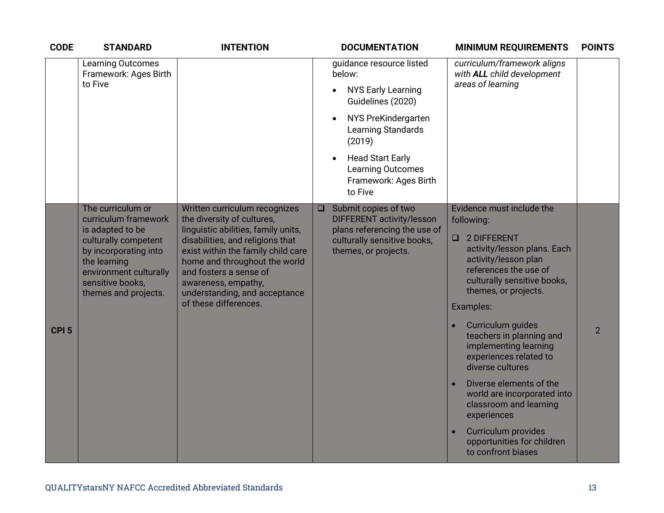| <b>CODE</b>      | <b>STANDARD</b>                                                                                                                                                                                      | <b>INTENTION</b>                                                                                                                                                                                                                                                                                                         | <b>DOCUMENTATION</b>                                                                                                                                                                                                                                                          | <b>MINIMUM REQUIREMENTS</b>                                                                                                                                                                                                                                                                                                                                                                                                                                                                                                | <b>POINTS</b>  |
|------------------|------------------------------------------------------------------------------------------------------------------------------------------------------------------------------------------------------|--------------------------------------------------------------------------------------------------------------------------------------------------------------------------------------------------------------------------------------------------------------------------------------------------------------------------|-------------------------------------------------------------------------------------------------------------------------------------------------------------------------------------------------------------------------------------------------------------------------------|----------------------------------------------------------------------------------------------------------------------------------------------------------------------------------------------------------------------------------------------------------------------------------------------------------------------------------------------------------------------------------------------------------------------------------------------------------------------------------------------------------------------------|----------------|
|                  | <b>Learning Outcomes</b><br>Framework: Ages Birth<br>to Five                                                                                                                                         |                                                                                                                                                                                                                                                                                                                          | guidance resource listed<br>below:<br><b>NYS Early Learning</b><br>$\bullet$<br>Guidelines (2020)<br>NYS PreKindergarten<br>$\bullet$<br>Learning Standards<br>(2019)<br><b>Head Start Early</b><br>$\bullet$<br><b>Learning Outcomes</b><br>Framework: Ages Birth<br>to Five | curriculum/framework aligns<br>with ALL child development<br>areas of learning                                                                                                                                                                                                                                                                                                                                                                                                                                             |                |
| CPI <sub>5</sub> | The curriculum or<br>curriculum framework<br>is adapted to be<br>culturally competent<br>by incorporating into<br>the learning<br>environment culturally<br>sensitive books,<br>themes and projects. | Written curriculum recognizes<br>the diversity of cultures,<br>linguistic abilities, family units,<br>disabilities, and religions that<br>exist within the family child care<br>home and throughout the world<br>and fosters a sense of<br>awareness, empathy,<br>understanding, and acceptance<br>of these differences. | Submit copies of two<br>$\Box$<br>DIFFERENT activity/lesson<br>plans referencing the use of<br>culturally sensitive books,<br>themes, or projects.                                                                                                                            | Evidence must include the<br>following:<br>$\Box$<br>2 DIFFERENT<br>activity/lesson plans. Each<br>activity/lesson plan<br>references the use of<br>culturally sensitive books,<br>themes, or projects.<br>Examples:<br>Curriculum guides<br>teachers in planning and<br>implementing learning<br>experiences related to<br>diverse cultures<br>Diverse elements of the<br>world are incorporated into<br>classroom and learning<br>experiences<br>Curriculum provides<br>opportunities for children<br>to confront biases | $\overline{2}$ |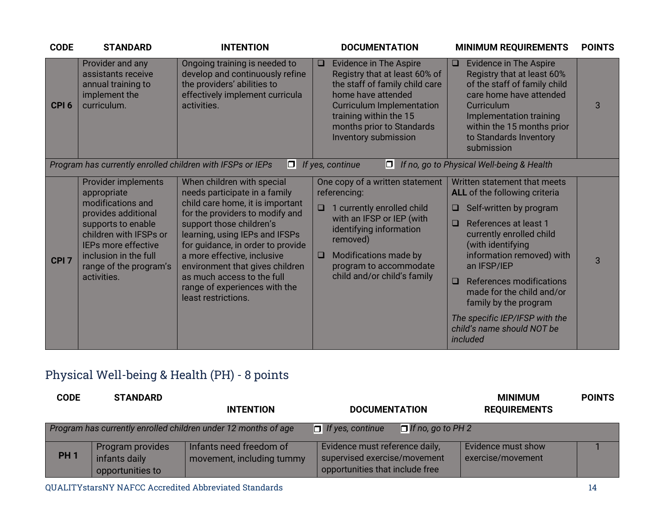| <b>CODE</b>      | <b>STANDARD</b>                                                                                                                                                                                                         | <b>INTENTION</b>                                                                                                                                                                                                                                                                                                                                                                              | <b>DOCUMENTATION</b>                                                                                                                                                                                                                                    | <b>MINIMUM REQUIREMENTS</b>                                                                                                                                                                                                                                                                                                                                                                      | <b>POINTS</b> |
|------------------|-------------------------------------------------------------------------------------------------------------------------------------------------------------------------------------------------------------------------|-----------------------------------------------------------------------------------------------------------------------------------------------------------------------------------------------------------------------------------------------------------------------------------------------------------------------------------------------------------------------------------------------|---------------------------------------------------------------------------------------------------------------------------------------------------------------------------------------------------------------------------------------------------------|--------------------------------------------------------------------------------------------------------------------------------------------------------------------------------------------------------------------------------------------------------------------------------------------------------------------------------------------------------------------------------------------------|---------------|
| CPI <sub>6</sub> | Provider and any<br>assistants receive<br>annual training to<br>implement the<br>curriculum.                                                                                                                            | Ongoing training is needed to<br>develop and continuously refine<br>the providers' abilities to<br>effectively implement curricula<br>activities.                                                                                                                                                                                                                                             | <b>Evidence in The Aspire</b><br>$\Box$<br>Registry that at least 60% of<br>the staff of family child care<br>home have attended<br><b>Curriculum Implementation</b><br>training within the 15<br>months prior to Standards<br>Inventory submission     | <b>Evidence in The Aspire</b><br>$\Box$<br>Registry that at least 60%<br>of the staff of family child<br>care home have attended<br><b>Curriculum</b><br>Implementation training<br>within the 15 months prior<br>to Standards Inventory<br>submission                                                                                                                                           | 3             |
|                  | Program has currently enrolled children with IFSPs or IEPs                                                                                                                                                              | OL                                                                                                                                                                                                                                                                                                                                                                                            | If yes, continue<br>$ \square $                                                                                                                                                                                                                         | If no, go to Physical Well-being & Health                                                                                                                                                                                                                                                                                                                                                        |               |
| CPI <sub>7</sub> | Provider implements<br>appropriate<br>modifications and<br>provides additional<br>supports to enable<br>children with IFSPs or<br>IEPs more effective<br>inclusion in the full<br>range of the program's<br>activities. | When children with special<br>needs participate in a family<br>child care home, it is important<br>for the providers to modify and<br>support those children's<br>learning, using IEPs and IFSPs<br>for guidance, in order to provide<br>a more effective, inclusive<br>environment that gives children<br>as much access to the full<br>range of experiences with the<br>least restrictions. | One copy of a written statement<br>referencing:<br>1 currently enrolled child<br>$\Box$<br>with an IFSP or IEP (with<br>identifying information<br>removed)<br>Modifications made by<br>$\Box$<br>program to accommodate<br>child and/or child's family | Written statement that meets<br>ALL of the following criteria<br>Self-written by program<br>References at least 1<br>$\Box$<br>currently enrolled child<br>(with identifying<br>information removed) with<br>an IFSP/IEP<br>References modifications<br>$\Box$<br>made for the child and/or<br>family by the program<br>The specific IEP/IFSP with the<br>child's name should NOT be<br>included | 3             |

# Physical Well-being & Health (PH) - 8 points

| <b>CODE</b> | <b>STANDARD</b>                                       | <b>INTENTION</b>                                               | <b>DOCUMENTATION</b>                                                                              | <b>MINIMUM</b><br><b>REQUIREMENTS</b>   | <b>POINTS</b> |
|-------------|-------------------------------------------------------|----------------------------------------------------------------|---------------------------------------------------------------------------------------------------|-----------------------------------------|---------------|
|             |                                                       | Program has currently enrolled children under 12 months of age | $\Box$ If yes, continue<br>$\Box$ If no, go to PH 2                                               |                                         |               |
| <b>PH1</b>  | Program provides<br>infants daily<br>opportunities to | Infants need freedom of<br>movement, including tummy           | Evidence must reference daily,<br>supervised exercise/movement<br>opportunities that include free | Evidence must show<br>exercise/movement |               |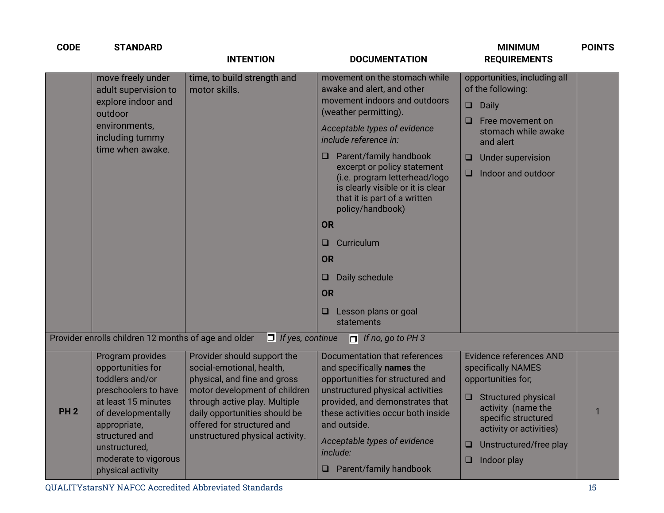| <b>CODE</b> | <b>STANDARD</b>                                                                                                                                                                                                               | <b>INTENTION</b>                                                                                                                                                                                                                                             | <b>DOCUMENTATION</b>                                                                                                                                                                                                                                                                                                                                                                                                                                                                               | <b>MINIMUM</b><br><b>REQUIREMENTS</b>                                                                                                                                                                                                                                                                    | <b>POINTS</b> |
|-------------|-------------------------------------------------------------------------------------------------------------------------------------------------------------------------------------------------------------------------------|--------------------------------------------------------------------------------------------------------------------------------------------------------------------------------------------------------------------------------------------------------------|----------------------------------------------------------------------------------------------------------------------------------------------------------------------------------------------------------------------------------------------------------------------------------------------------------------------------------------------------------------------------------------------------------------------------------------------------------------------------------------------------|----------------------------------------------------------------------------------------------------------------------------------------------------------------------------------------------------------------------------------------------------------------------------------------------------------|---------------|
|             | move freely under<br>adult supervision to<br>explore indoor and<br>outdoor<br>environments,<br>including tummy<br>time when awake.                                                                                            | time, to build strength and<br>motor skills.                                                                                                                                                                                                                 | movement on the stomach while<br>awake and alert, and other<br>movement indoors and outdoors<br>(weather permitting).<br>Acceptable types of evidence<br>include reference in:<br>Parent/family handbook<br>excerpt or policy statement<br>(i.e. program letterhead/logo<br>is clearly visible or it is clear<br>that it is part of a written<br>policy/handbook)<br><b>OR</b><br>Curriculum<br><b>OR</b><br>Daily schedule<br>$\Box$<br><b>OR</b><br>Lesson plans or goal<br>$\Box$<br>statements | opportunities, including all<br>of the following:<br>Daily<br>$\Box$<br>Free movement on<br>stomach while awake<br>and alert<br>Under supervision<br>$\Box$<br>Indoor and outdoor<br>u                                                                                                                   |               |
|             | Provider enrolls children 12 months of age and older                                                                                                                                                                          | $\Box$ If yes, continue                                                                                                                                                                                                                                      | $\Box$ If no, go to PH 3                                                                                                                                                                                                                                                                                                                                                                                                                                                                           |                                                                                                                                                                                                                                                                                                          |               |
| <b>PH2</b>  | Program provides<br>opportunities for<br>toddlers and/or<br>preschoolers to have<br>at least 15 minutes<br>of developmentally<br>appropriate,<br>structured and<br>unstructured,<br>moderate to vigorous<br>physical activity | Provider should support the<br>social-emotional, health,<br>physical, and fine and gross<br>motor development of children<br>through active play. Multiple<br>daily opportunities should be<br>offered for structured and<br>unstructured physical activity. | <b>Documentation that references</b><br>and specifically names the<br>opportunities for structured and<br>unstructured physical activities<br>provided, and demonstrates that<br>these activities occur both inside<br>and outside.<br>Acceptable types of evidence<br>include:<br>$\Box$ Parent/family handbook                                                                                                                                                                                   | <b>Evidence references AND</b><br>specifically NAMES<br>opportunities for;<br>Structured physical<br>$\begin{array}{ccc} \square & \square & \square \end{array}$<br>activity (name the<br>specific structured<br>activity or activities)<br>Unstructured/free play<br><b>□</b><br>Indoor play<br>$\Box$ | $\mathbf{1}$  |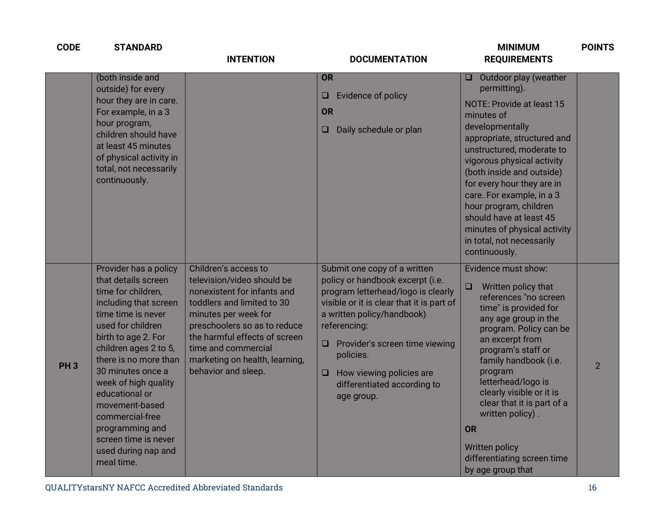| <b>CODE</b>     | <b>STANDARD</b>                                                                                                                                                                                                                                                                                                                                                                                     | <b>INTENTION</b>                                                                                                                                                                                                                                                                         | <b>DOCUMENTATION</b>                                                                                                                                                                                                                                                                                                                  | <b>MINIMUM</b><br><b>REQUIREMENTS</b>                                                                                                                                                                                                                                                                                                                                                                                          | <b>POINTS</b>  |
|-----------------|-----------------------------------------------------------------------------------------------------------------------------------------------------------------------------------------------------------------------------------------------------------------------------------------------------------------------------------------------------------------------------------------------------|------------------------------------------------------------------------------------------------------------------------------------------------------------------------------------------------------------------------------------------------------------------------------------------|---------------------------------------------------------------------------------------------------------------------------------------------------------------------------------------------------------------------------------------------------------------------------------------------------------------------------------------|--------------------------------------------------------------------------------------------------------------------------------------------------------------------------------------------------------------------------------------------------------------------------------------------------------------------------------------------------------------------------------------------------------------------------------|----------------|
|                 | (both inside and<br>outside) for every<br>hour they are in care.<br>For example, in a 3<br>hour program,<br>children should have<br>at least 45 minutes<br>of physical activity in<br>total, not necessarily<br>continuously.                                                                                                                                                                       |                                                                                                                                                                                                                                                                                          | <b>OR</b><br>Evidence of policy<br>u.<br><b>OR</b><br>Daily schedule or plan<br>$\Box$                                                                                                                                                                                                                                                | Outdoor play (weather<br>O.<br>permitting).<br>NOTE: Provide at least 15<br>minutes of<br>developmentally<br>appropriate, structured and<br>unstructured, moderate to<br>vigorous physical activity<br>(both inside and outside)<br>for every hour they are in<br>care. For example, in a 3<br>hour program, children<br>should have at least 45<br>minutes of physical activity<br>in total, not necessarily<br>continuously. |                |
| PH <sub>3</sub> | Provider has a policy<br>that details screen<br>time for children,<br>including that screen<br>time time is never<br>used for children<br>birth to age 2. For<br>children ages 2 to 5,<br>there is no more than<br>30 minutes once a<br>week of high quality<br>educational or<br>movement-based<br>commercial-free<br>programming and<br>screen time is never<br>used during nap and<br>meal time. | Children's access to<br>television/video should be<br>nonexistent for infants and<br>toddlers and limited to 30<br>minutes per week for<br>preschoolers so as to reduce<br>the harmful effects of screen<br>time and commercial<br>marketing on health, learning,<br>behavior and sleep. | Submit one copy of a written<br>policy or handbook excerpt (i.e.<br>program letterhead/logo is clearly<br>visible or it is clear that it is part of<br>a written policy/handbook)<br>referencing:<br>$\Box$ Provider's screen time viewing<br>policies.<br>How viewing policies are<br>O<br>differentiated according to<br>age group. | Evidence must show:<br>Written policy that<br>$\Box$<br>references "no screen<br>time" is provided for<br>any age group in the<br>program. Policy can be<br>an excerpt from<br>program's staff or<br>family handbook (i.e.<br>program<br>letterhead/logo is<br>clearly visible or it is<br>clear that it is part of a<br>written policy).<br>OR<br>Written policy<br>differentiating screen time<br>by age group that          | $\overline{2}$ |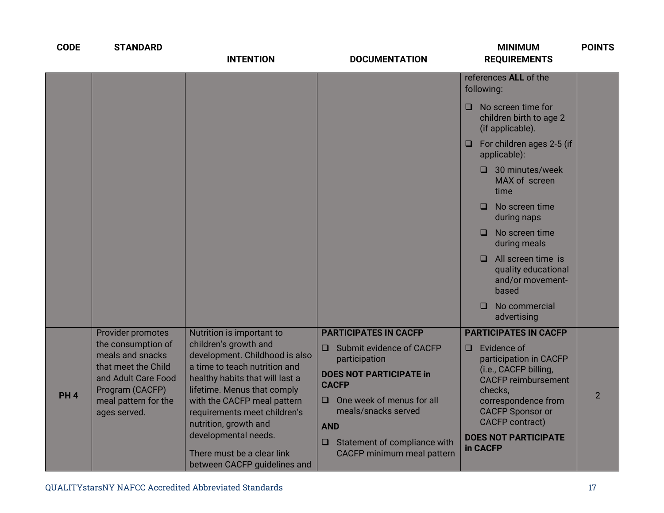| <b>CODE</b> | <b>STANDARD</b>                                                                                                                                                      | <b>INTENTION</b>                                                                                                                                                                                                                                                                                                                                                      | <b>DOCUMENTATION</b>                                                                                                                                                                                                                                                             | <b>MINIMUM</b><br><b>REQUIREMENTS</b>                                                                                                                                                                                                                                                                                                                                                                                 | <b>POINTS</b>  |
|-------------|----------------------------------------------------------------------------------------------------------------------------------------------------------------------|-----------------------------------------------------------------------------------------------------------------------------------------------------------------------------------------------------------------------------------------------------------------------------------------------------------------------------------------------------------------------|----------------------------------------------------------------------------------------------------------------------------------------------------------------------------------------------------------------------------------------------------------------------------------|-----------------------------------------------------------------------------------------------------------------------------------------------------------------------------------------------------------------------------------------------------------------------------------------------------------------------------------------------------------------------------------------------------------------------|----------------|
|             |                                                                                                                                                                      |                                                                                                                                                                                                                                                                                                                                                                       |                                                                                                                                                                                                                                                                                  | references ALL of the<br>following:<br>$\Box$ No screen time for<br>children birth to age 2<br>(if applicable).<br>For children ages 2-5 (if<br>O<br>applicable):<br>$\Box$ 30 minutes/week<br>MAX of screen<br>time<br>No screen time<br>□<br>during naps<br>No screen time<br>□<br>during meals<br>All screen time is<br>◻<br>quality educational<br>and/or movement-<br>based<br>No commercial<br>□<br>advertising |                |
| <b>PH4</b>  | Provider promotes<br>the consumption of<br>meals and snacks<br>that meet the Child<br>and Adult Care Food<br>Program (CACFP)<br>meal pattern for the<br>ages served. | Nutrition is important to<br>children's growth and<br>development. Childhood is also<br>a time to teach nutrition and<br>healthy habits that will last a<br>lifetime. Menus that comply<br>with the CACFP meal pattern<br>requirements meet children's<br>nutrition, growth and<br>developmental needs.<br>There must be a clear link<br>between CACFP guidelines and | <b>PARTICIPATES IN CACFP</b><br>Submit evidence of CACFP<br>0<br>participation<br><b>DOES NOT PARTICIPATE in</b><br><b>CACFP</b><br>One week of menus for all<br>O.<br>meals/snacks served<br><b>AND</b><br>Statement of compliance with<br>$\Box$<br>CACFP minimum meal pattern | <b>PARTICIPATES IN CACFP</b><br>$\Box$ Evidence of<br>participation in CACFP<br>(i.e., CACFP billing,<br><b>CACFP reimbursement</b><br>checks,<br>correspondence from<br><b>CACFP Sponsor or</b><br><b>CACFP</b> contract)<br><b>DOES NOT PARTICIPATE</b><br>in CACFP                                                                                                                                                 | $\overline{2}$ |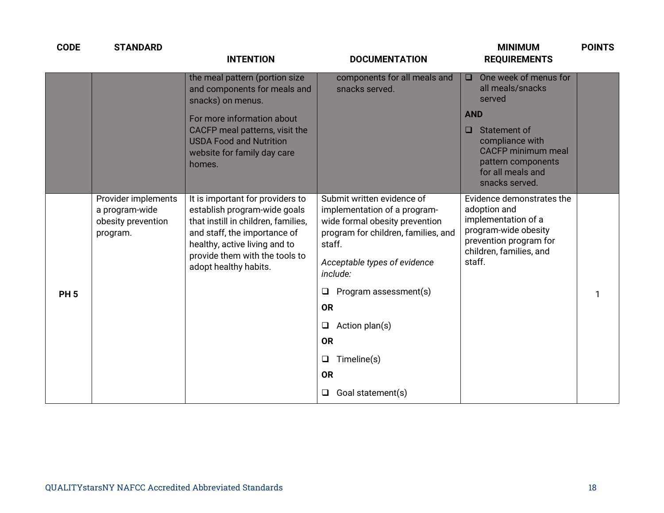| <b>CODE</b> | <b>STANDARD</b>                                                         | <b>INTENTION</b>                                                                                                                                                                                                                    | <b>DOCUMENTATION</b>                                                                                                                                                                                                                                                                                                                                    | <b>MINIMUM</b><br><b>REQUIREMENTS</b>                                                                                                                                                                              | <b>POINTS</b> |
|-------------|-------------------------------------------------------------------------|-------------------------------------------------------------------------------------------------------------------------------------------------------------------------------------------------------------------------------------|---------------------------------------------------------------------------------------------------------------------------------------------------------------------------------------------------------------------------------------------------------------------------------------------------------------------------------------------------------|--------------------------------------------------------------------------------------------------------------------------------------------------------------------------------------------------------------------|---------------|
|             |                                                                         | the meal pattern (portion size<br>and components for meals and<br>snacks) on menus.<br>For more information about<br>CACFP meal patterns, visit the<br><b>USDA Food and Nutrition</b><br>website for family day care<br>homes.      | components for all meals and<br>snacks served.                                                                                                                                                                                                                                                                                                          | One week of menus for<br>$\Box$<br>all meals/snacks<br>served<br><b>AND</b><br>Statement of<br>$\Box$<br>compliance with<br><b>CACFP</b> minimum meal<br>pattern components<br>for all meals and<br>snacks served. |               |
| <b>PH5</b>  | Provider implements<br>a program-wide<br>obesity prevention<br>program. | It is important for providers to<br>establish program-wide goals<br>that instill in children, families,<br>and staff, the importance of<br>healthy, active living and to<br>provide them with the tools to<br>adopt healthy habits. | Submit written evidence of<br>implementation of a program-<br>wide formal obesity prevention<br>program for children, families, and<br>staff.<br>Acceptable types of evidence<br>include:<br>Program assessment(s)<br>$\Box$<br><b>OR</b><br>Action plan(s)<br>$\Box$<br><b>OR</b><br>Timeline(s)<br>$\Box$<br><b>OR</b><br>Goal statement(s)<br>$\Box$ | Evidence demonstrates the<br>adoption and<br>implementation of a<br>program-wide obesity<br>prevention program for<br>children, families, and<br>staff.                                                            |               |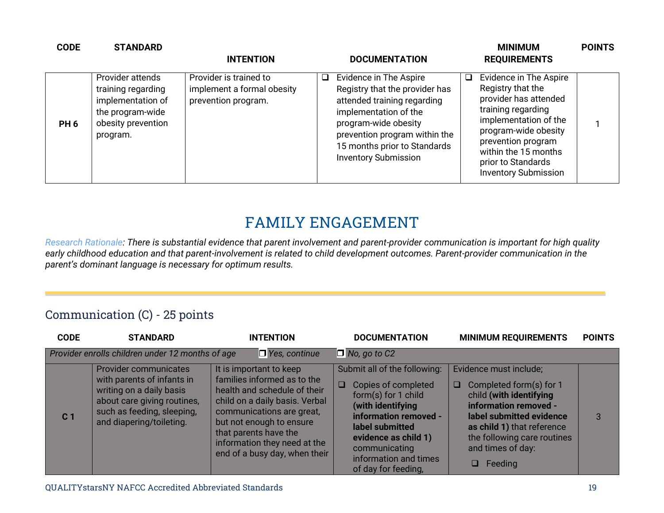| <b>CODE</b>     | <b>STANDARD</b>                                                                                                   | <b>INTENTION</b>                                                            | <b>DOCUMENTATION</b>                                                                                                                                                                                                                               | <b>MINIMUM</b><br><b>REQUIREMENTS</b>                                                                                                                                                                                                          | <b>POINTS</b> |
|-----------------|-------------------------------------------------------------------------------------------------------------------|-----------------------------------------------------------------------------|----------------------------------------------------------------------------------------------------------------------------------------------------------------------------------------------------------------------------------------------------|------------------------------------------------------------------------------------------------------------------------------------------------------------------------------------------------------------------------------------------------|---------------|
| PH <sub>6</sub> | Provider attends<br>training regarding<br>implementation of<br>the program-wide<br>obesity prevention<br>program. | Provider is trained to<br>implement a formal obesity<br>prevention program. | Evidence in The Aspire<br>$\Box$<br>Registry that the provider has<br>attended training regarding<br>implementation of the<br>program-wide obesity<br>prevention program within the<br>15 months prior to Standards<br><b>Inventory Submission</b> | Evidence in The Aspire<br>Registry that the<br>provider has attended<br>training regarding<br>implementation of the<br>program-wide obesity<br>prevention program<br>within the 15 months<br>prior to Standards<br><b>Inventory Submission</b> |               |

# **FAMILY ENGAGEMENT**

*Research Rationale: There is substantial evidence that parent involvement and parent-provider communication is important for high quality early childhood education and that parent-involvement is related to child development outcomes. Parent-provider communication in the parent's dominant language is necessary for optimum results.*

#### Communication (C) - 25 points

| <b>CODE</b>    | <b>STANDARD</b>                                                                                                                                                                 | <b>INTENTION</b>                                                                                                                                                                                                                                                            | <b>DOCUMENTATION</b>                                                                                                                                                                                                                           | <b>MINIMUM REQUIREMENTS</b>                                                                                                                                                                                                         | <b>POINTS</b> |
|----------------|---------------------------------------------------------------------------------------------------------------------------------------------------------------------------------|-----------------------------------------------------------------------------------------------------------------------------------------------------------------------------------------------------------------------------------------------------------------------------|------------------------------------------------------------------------------------------------------------------------------------------------------------------------------------------------------------------------------------------------|-------------------------------------------------------------------------------------------------------------------------------------------------------------------------------------------------------------------------------------|---------------|
|                | Provider enrolls children under 12 months of age                                                                                                                                | $\Box$ Yes, continue                                                                                                                                                                                                                                                        | $\Box$ No, go to C2                                                                                                                                                                                                                            |                                                                                                                                                                                                                                     |               |
| C <sub>1</sub> | <b>Provider communicates</b><br>with parents of infants in<br>writing on a daily basis<br>about care giving routines,<br>such as feeding, sleeping,<br>and diapering/toileting. | It is important to keep<br>families informed as to the<br>health and schedule of their<br>child on a daily basis. Verbal<br>communications are great,<br>but not enough to ensure<br>that parents have the<br>information they need at the<br>end of a busy day, when their | Submit all of the following:<br>Copies of completed<br>$\Box$<br>form(s) for 1 child<br>(with identifying<br>information removed -<br>label submitted<br>evidence as child 1)<br>communicating<br>information and times<br>of day for feeding, | Evidence must include;<br>Completed form(s) for 1<br>u<br>child (with identifying<br>information removed -<br>label submitted evidence<br>as child 1) that reference<br>the following care routines<br>and times of day:<br>Feeding | 3             |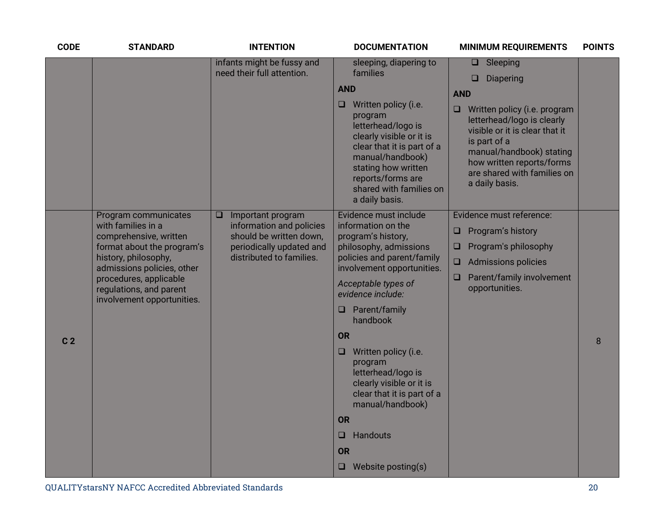| <b>CODE</b>    | <b>STANDARD</b>                                                                                                                                                                                                                             | <b>INTENTION</b>                                                                                                                      | <b>DOCUMENTATION</b>                                                                                                                                                                                                                                                                                                                                                                                                                                                               | <b>MINIMUM REQUIREMENTS</b>                                                                                                                                                                                                                                                                | <b>POINTS</b> |
|----------------|---------------------------------------------------------------------------------------------------------------------------------------------------------------------------------------------------------------------------------------------|---------------------------------------------------------------------------------------------------------------------------------------|------------------------------------------------------------------------------------------------------------------------------------------------------------------------------------------------------------------------------------------------------------------------------------------------------------------------------------------------------------------------------------------------------------------------------------------------------------------------------------|--------------------------------------------------------------------------------------------------------------------------------------------------------------------------------------------------------------------------------------------------------------------------------------------|---------------|
|                |                                                                                                                                                                                                                                             | infants might be fussy and<br>need their full attention.                                                                              | sleeping, diapering to<br>families<br><b>AND</b><br>Written policy (i.e.<br>u<br>program<br>letterhead/logo is<br>clearly visible or it is<br>clear that it is part of a<br>manual/handbook)<br>stating how written<br>reports/forms are<br>shared with families on<br>a daily basis.                                                                                                                                                                                              | $\Box$ Sleeping<br><b>Diapering</b><br>◻<br><b>AND</b><br>$\Box$<br>Written policy (i.e. program<br>letterhead/logo is clearly<br>visible or it is clear that it<br>is part of a<br>manual/handbook) stating<br>how written reports/forms<br>are shared with families on<br>a daily basis. |               |
| C <sub>2</sub> | Program communicates<br>with families in a<br>comprehensive, written<br>format about the program's<br>history, philosophy,<br>admissions policies, other<br>procedures, applicable<br>regulations, and parent<br>involvement opportunities. | Important program<br>⊔<br>information and policies<br>should be written down,<br>periodically updated and<br>distributed to families. | Evidence must include<br>information on the<br>program's history,<br>philosophy, admissions<br>policies and parent/family<br>involvement opportunities.<br>Acceptable types of<br>evidence include:<br>$\Box$ Parent/family<br>handbook<br><b>OR</b><br>Written policy (i.e.<br>$\Box$<br>program<br>letterhead/logo is<br>clearly visible or it is<br>clear that it is part of a<br>manual/handbook)<br><b>OR</b><br>Handouts<br>$\Box$<br><b>OR</b><br>$\Box$ Website posting(s) | Evidence must reference:<br>Program's history<br>u<br>Program's philosophy<br>$\Box$<br><b>Admissions policies</b><br>Parent/family involvement<br>u<br>opportunities.                                                                                                                     | 8             |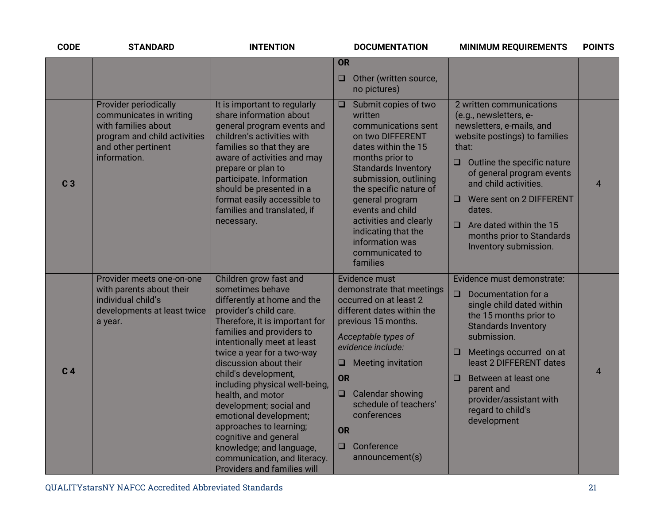| <b>CODE</b>    | <b>STANDARD</b>                                                                                                                                       | <b>INTENTION</b>                                                                                                                                                                                                                                                                                                                                                                                                                                                                                                                                    | <b>DOCUMENTATION</b>                                                                                                                                                                                                                                                                                                                                      | <b>MINIMUM REQUIREMENTS</b>                                                                                                                                                                                                                                                                                                                                      | <b>POINTS</b>  |
|----------------|-------------------------------------------------------------------------------------------------------------------------------------------------------|-----------------------------------------------------------------------------------------------------------------------------------------------------------------------------------------------------------------------------------------------------------------------------------------------------------------------------------------------------------------------------------------------------------------------------------------------------------------------------------------------------------------------------------------------------|-----------------------------------------------------------------------------------------------------------------------------------------------------------------------------------------------------------------------------------------------------------------------------------------------------------------------------------------------------------|------------------------------------------------------------------------------------------------------------------------------------------------------------------------------------------------------------------------------------------------------------------------------------------------------------------------------------------------------------------|----------------|
|                |                                                                                                                                                       |                                                                                                                                                                                                                                                                                                                                                                                                                                                                                                                                                     | <b>OR</b>                                                                                                                                                                                                                                                                                                                                                 |                                                                                                                                                                                                                                                                                                                                                                  |                |
|                |                                                                                                                                                       |                                                                                                                                                                                                                                                                                                                                                                                                                                                                                                                                                     | Other (written source,<br>$\Box$<br>no pictures)                                                                                                                                                                                                                                                                                                          |                                                                                                                                                                                                                                                                                                                                                                  |                |
| C <sub>3</sub> | <b>Provider periodically</b><br>communicates in writing<br>with families about<br>program and child activities<br>and other pertinent<br>information. | It is important to regularly<br>share information about<br>general program events and<br>children's activities with<br>families so that they are<br>aware of activities and may<br>prepare or plan to<br>participate. Information<br>should be presented in a<br>format easily accessible to<br>families and translated, if<br>necessary.                                                                                                                                                                                                           | Submit copies of two<br>$\Box$<br>written<br>communications sent<br>on two DIFFERENT<br>dates within the 15<br>months prior to<br><b>Standards Inventory</b><br>submission, outlining<br>the specific nature of<br>general program<br>events and child<br>activities and clearly<br>indicating that the<br>information was<br>communicated to<br>families | 2 written communications<br>(e.g., newsletters, e-<br>newsletters, e-mails, and<br>website postings) to families<br>that:<br>Outline the specific nature<br>$\Box$<br>of general program events<br>and child activities.<br>Were sent on 2 DIFFERENT<br>$\Box$<br>dates.<br>$\Box$ Are dated within the 15<br>months prior to Standards<br>Inventory submission. | $\overline{4}$ |
| C <sub>4</sub> | Provider meets one-on-one<br>with parents about their<br>individual child's<br>developments at least twice<br>a year.                                 | Children grow fast and<br>sometimes behave<br>differently at home and the<br>provider's child care.<br>Therefore, it is important for<br>families and providers to<br>intentionally meet at least<br>twice a year for a two-way<br>discussion about their<br>child's development,<br>including physical well-being,<br>health, and motor<br>development; social and<br>emotional development;<br>approaches to learning;<br>cognitive and general<br>knowledge; and language,<br>communication, and literacy.<br><b>Providers and families will</b> | Evidence must<br>demonstrate that meetings<br>occurred on at least 2<br>different dates within the<br>previous 15 months.<br>Acceptable types of<br>evidence include:<br><b>Meeting invitation</b><br>u<br><b>OR</b><br>Calendar showing<br>$\Box$<br>schedule of teachers'<br>conferences<br><b>OR</b><br>Conference<br>$\Box$<br>announcement(s)        | Evidence must demonstrate:<br>Documentation for a<br>$\Box$<br>single child dated within<br>the 15 months prior to<br><b>Standards Inventory</b><br>submission.<br>$\Box$ Meetings occurred on at<br>least 2 DIFFERENT dates<br>Between at least one<br>$\Box$<br>parent and<br>provider/assistant with<br>regard to child's<br>development                      | $\overline{4}$ |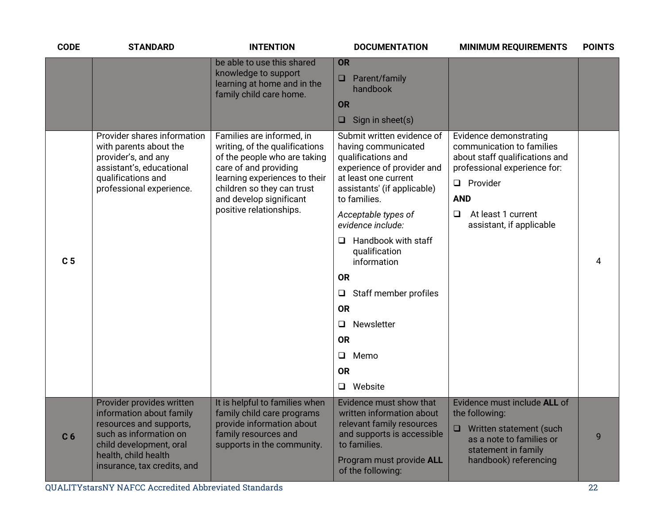| <b>CODE</b>    | <b>STANDARD</b>                                                                                                                                                                              | <b>INTENTION</b>                                                                                                                                                                                                                          | <b>DOCUMENTATION</b>                                                                                                                                                                                                                                                                                                                                                                                                                       | <b>MINIMUM REQUIREMENTS</b>                                                                                                                                                                                           | <b>POINTS</b> |
|----------------|----------------------------------------------------------------------------------------------------------------------------------------------------------------------------------------------|-------------------------------------------------------------------------------------------------------------------------------------------------------------------------------------------------------------------------------------------|--------------------------------------------------------------------------------------------------------------------------------------------------------------------------------------------------------------------------------------------------------------------------------------------------------------------------------------------------------------------------------------------------------------------------------------------|-----------------------------------------------------------------------------------------------------------------------------------------------------------------------------------------------------------------------|---------------|
|                |                                                                                                                                                                                              | be able to use this shared<br>knowledge to support<br>learning at home and in the<br>family child care home.                                                                                                                              | OR<br>$\Box$ Parent/family<br>handbook<br><b>OR</b><br>Sign in sheet(s)<br>$\Box$                                                                                                                                                                                                                                                                                                                                                          |                                                                                                                                                                                                                       |               |
| C <sub>5</sub> | Provider shares information<br>with parents about the<br>provider's, and any<br>assistant's, educational<br>qualifications and<br>professional experience.                                   | Families are informed, in<br>writing, of the qualifications<br>of the people who are taking<br>care of and providing<br>learning experiences to their<br>children so they can trust<br>and develop significant<br>positive relationships. | Submit written evidence of<br>having communicated<br>qualifications and<br>experience of provider and<br>at least one current<br>assistants' (if applicable)<br>to families.<br>Acceptable types of<br>evidence include:<br>Handbook with staff<br>❏<br>qualification<br>information<br><b>OR</b><br>Staff member profiles<br>$\Box$<br><b>OR</b><br>Newsletter<br>$\Box$<br><b>OR</b><br>$\Box$<br>Memo<br><b>OR</b><br>Website<br>$\Box$ | Evidence demonstrating<br>communication to families<br>about staff qualifications and<br>professional experience for:<br>Provider<br>$\Box$<br><b>AND</b><br>At least 1 current<br>$\Box$<br>assistant, if applicable | 4             |
| C <sub>6</sub> | Provider provides written<br>information about family<br>resources and supports,<br>such as information on<br>child development, oral<br>health, child health<br>insurance, tax credits, and | It is helpful to families when<br>family child care programs<br>provide information about<br>family resources and<br>supports in the community.                                                                                           | Evidence must show that<br>written information about<br>relevant family resources<br>and supports is accessible<br>to families.<br>Program must provide ALL<br>of the following:                                                                                                                                                                                                                                                           | Evidence must include ALL of<br>the following:<br>$\Box$<br>Written statement (such<br>as a note to families or<br>statement in family<br>handbook) referencing                                                       | 9             |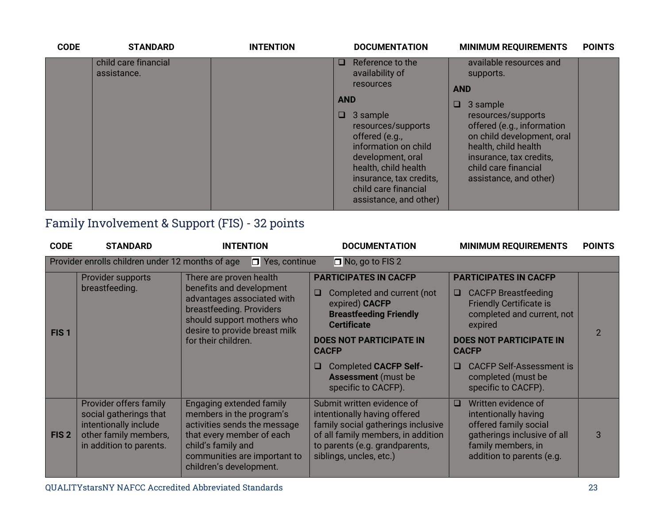| <b>CODE</b> | <b>STANDARD</b>                     | <b>INTENTION</b> |                           | <b>DOCUMENTATION</b>                                                                                                                                                                                                                                          | <b>MINIMUM REQUIREMENTS</b>                                                                                                                                                                                                                                | <b>POINTS</b> |
|-------------|-------------------------------------|------------------|---------------------------|---------------------------------------------------------------------------------------------------------------------------------------------------------------------------------------------------------------------------------------------------------------|------------------------------------------------------------------------------------------------------------------------------------------------------------------------------------------------------------------------------------------------------------|---------------|
|             | child care financial<br>assistance. |                  | $\Box$<br><b>AND</b><br>O | Reference to the<br>availability of<br><b>resources</b><br>3 sample<br>resources/supports<br>offered (e.g.,<br>information on child<br>development, oral<br>health, child health<br>insurance, tax credits,<br>child care financial<br>assistance, and other) | available resources and<br>supports.<br><b>AND</b><br>3 sample<br>O<br>resources/supports<br>offered (e.g., information<br>on child development, oral<br>health, child health<br>insurance, tax credits,<br>child care financial<br>assistance, and other) |               |

## Family Involvement & Support (FIS) - 32 points

| <b>CODE</b>      | <b>STANDARD</b>                                                                                                               | <b>INTENTION</b>                                                                                                                                                                                          | <b>DOCUMENTATION</b>                                                                                                                                                                                                                                                                      | <b>MINIMUM REQUIREMENTS</b>                                                                                                                                                                                                                                                                 | <b>POINTS</b> |
|------------------|-------------------------------------------------------------------------------------------------------------------------------|-----------------------------------------------------------------------------------------------------------------------------------------------------------------------------------------------------------|-------------------------------------------------------------------------------------------------------------------------------------------------------------------------------------------------------------------------------------------------------------------------------------------|---------------------------------------------------------------------------------------------------------------------------------------------------------------------------------------------------------------------------------------------------------------------------------------------|---------------|
|                  | Provider enrolls children under 12 months of age                                                                              | $\Box$ Yes, continue                                                                                                                                                                                      | $\Box$ No, go to FIS 2                                                                                                                                                                                                                                                                    |                                                                                                                                                                                                                                                                                             |               |
| FIS <sub>1</sub> | Provider supports<br>breastfeeding.                                                                                           | There are proven health<br>benefits and development<br>advantages associated with<br>breastfeeding. Providers<br>should support mothers who<br>desire to provide breast milk<br>for their children.       | <b>PARTICIPATES IN CACFP</b><br>Completed and current (not<br>$\Box$<br>expired) CACFP<br><b>Breastfeeding Friendly</b><br><b>Certificate</b><br><b>DOES NOT PARTICIPATE IN</b><br><b>CACFP</b><br><b>Completed CACFP Self-</b><br>⊔<br><b>Assessment</b> (must be<br>specific to CACFP). | <b>PARTICIPATES IN CACFP</b><br><b>CACFP Breastfeeding</b><br>$\Box$<br><b>Friendly Certificate is</b><br>completed and current, not<br>expired<br><b>DOES NOT PARTICIPATE IN</b><br><b>CACFP</b><br><b>CACFP Self-Assessment is</b><br>$\Box$<br>completed (must be<br>specific to CACFP). | $\mathcal{P}$ |
| FIS <sub>2</sub> | Provider offers family<br>social gatherings that<br>intentionally include<br>other family members,<br>in addition to parents. | <b>Engaging extended family</b><br>members in the program's<br>activities sends the message<br>that every member of each<br>child's family and<br>communities are important to<br>children's development. | Submit written evidence of<br>intentionally having offered<br>family social gatherings inclusive<br>of all family members, in addition<br>to parents (e.g. grandparents,<br>siblings, uncles, etc.)                                                                                       | Written evidence of<br>$\Box$<br>intentionally having<br>offered family social<br>gatherings inclusive of all<br>family members, in<br>addition to parents (e.g.                                                                                                                            | 3             |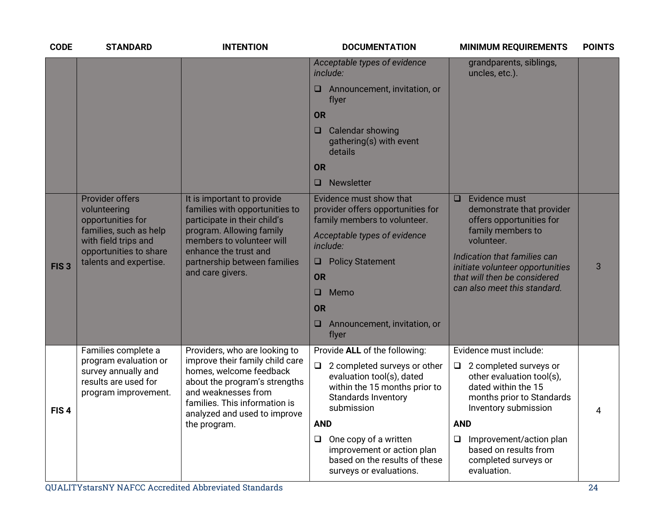| <b>CODE</b>      | <b>STANDARD</b>                                                                                                                                                   | <b>INTENTION</b>                                                                                                                                                                                                                     | <b>DOCUMENTATION</b>                                                                                                                                                                                                                                                                                                  | <b>MINIMUM REQUIREMENTS</b>                                                                                                                                                                                                                                                            | <b>POINTS</b> |
|------------------|-------------------------------------------------------------------------------------------------------------------------------------------------------------------|--------------------------------------------------------------------------------------------------------------------------------------------------------------------------------------------------------------------------------------|-----------------------------------------------------------------------------------------------------------------------------------------------------------------------------------------------------------------------------------------------------------------------------------------------------------------------|----------------------------------------------------------------------------------------------------------------------------------------------------------------------------------------------------------------------------------------------------------------------------------------|---------------|
|                  |                                                                                                                                                                   |                                                                                                                                                                                                                                      | Acceptable types of evidence<br>include:<br>Announcement, invitation, or<br>u<br>flyer<br><b>OR</b><br>Calendar showing<br>$\Box$<br>gathering(s) with event<br>details<br><b>OR</b><br>Newsletter<br>$\Box$                                                                                                          | grandparents, siblings,<br>uncles, etc.).                                                                                                                                                                                                                                              |               |
| FIS <sub>3</sub> | <b>Provider offers</b><br>volunteering<br>opportunities for<br>families, such as help<br>with field trips and<br>opportunities to share<br>talents and expertise. | It is important to provide<br>families with opportunities to<br>participate in their child's<br>program. Allowing family<br>members to volunteer will<br>enhance the trust and<br>partnership between families<br>and care givers.   | Evidence must show that<br>provider offers opportunities for<br>family members to volunteer.<br>Acceptable types of evidence<br>include:<br><b>Policy Statement</b><br>$\Box$<br><b>OR</b><br>Memo<br>$\Box$<br><b>OR</b><br>Announcement, invitation, or<br>⊔<br>flyer                                               | Evidence must<br>$\Box$<br>demonstrate that provider<br>offers opportunities for<br>family members to<br>volunteer.<br>Indication that families can<br>initiate volunteer opportunities<br>that will then be considered<br>can also meet this standard.                                | 3             |
| FIS <sub>4</sub> | Families complete a<br>program evaluation or<br>survey annually and<br>results are used for<br>program improvement.                                               | Providers, who are looking to<br>improve their family child care<br>homes, welcome feedback<br>about the program's strengths<br>and weaknesses from<br>families. This information is<br>analyzed and used to improve<br>the program. | Provide ALL of the following:<br>$\Box$<br>2 completed surveys or other<br>evaluation tool(s), dated<br>within the 15 months prior to<br>Standards Inventory<br>submission<br><b>AND</b><br>One copy of a written<br>$\Box$<br>improvement or action plan<br>based on the results of these<br>surveys or evaluations. | Evidence must include:<br>2 completed surveys or<br>$\Box$<br>other evaluation tool(s),<br>dated within the 15<br>months prior to Standards<br>Inventory submission<br><b>AND</b><br>$\Box$<br>Improvement/action plan<br>based on results from<br>completed surveys or<br>evaluation. | 4             |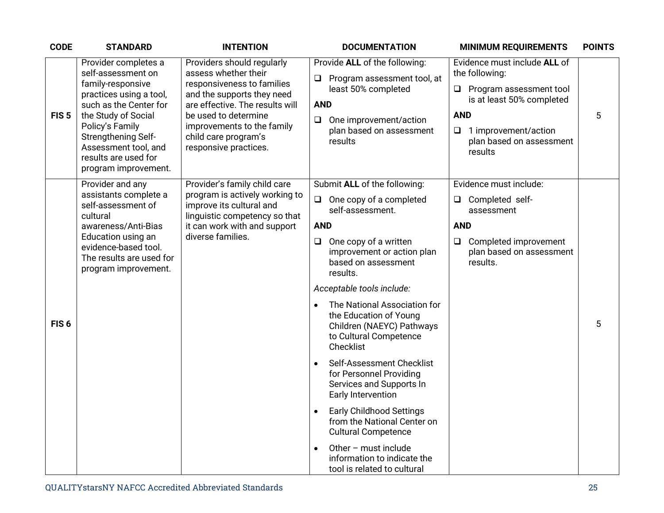| <b>CODE</b>      | <b>STANDARD</b>                                                                                                                                                                                                                                               | <b>INTENTION</b>                                                                                                                                                                                                                                         | <b>DOCUMENTATION</b><br><b>MINIMUM REQUIREMENTS</b>                                                                                                                                                                                                                                                                                                                                                                                                                                                                          | <b>POINTS</b> |
|------------------|---------------------------------------------------------------------------------------------------------------------------------------------------------------------------------------------------------------------------------------------------------------|----------------------------------------------------------------------------------------------------------------------------------------------------------------------------------------------------------------------------------------------------------|------------------------------------------------------------------------------------------------------------------------------------------------------------------------------------------------------------------------------------------------------------------------------------------------------------------------------------------------------------------------------------------------------------------------------------------------------------------------------------------------------------------------------|---------------|
| FIS <sub>5</sub> | Provider completes a<br>self-assessment on<br>family-responsive<br>practices using a tool,<br>such as the Center for<br>the Study of Social<br>Policy's Family<br>Strengthening Self-<br>Assessment tool, and<br>results are used for<br>program improvement. | Providers should regularly<br>assess whether their<br>responsiveness to families<br>and the supports they need<br>are effective. The results will<br>be used to determine<br>improvements to the family<br>child care program's<br>responsive practices. | Provide ALL of the following:<br>Evidence must include ALL of<br>the following:<br>Program assessment tool, at<br>Q<br>least 50% completed<br>$\Box$ Program assessment tool<br>is at least 50% completed<br><b>AND</b><br><b>AND</b><br>One improvement/action<br>$\Box$<br>plan based on assessment<br>1 improvement/action<br>❏<br>plan based on assessment<br>results<br>results                                                                                                                                         | 5             |
| FIS <sub>6</sub> | Provider and any<br>assistants complete a<br>self-assessment of<br>cultural<br>awareness/Anti-Bias<br>Education using an<br>evidence-based tool.<br>The results are used for<br>program improvement.                                                          | Provider's family child care<br>program is actively working to<br>improve its cultural and<br>linguistic competency so that<br>it can work with and support<br>diverse families.                                                                         | Submit ALL of the following:<br>Evidence must include:<br>One copy of a completed<br>Completed self-<br>$\Box$<br>Q.<br>self-assessment.<br>assessment<br><b>AND</b><br><b>AND</b><br>One copy of a written<br>Completed improvement<br>$\Box$<br>$\Box$<br>improvement or action plan<br>plan based on assessment<br>based on assessment<br>results.<br>results.<br>Acceptable tools include:<br>The National Association for<br>the Education of Young<br>Children (NAEYC) Pathways<br>to Cultural Competence<br>Checklist | 5             |
|                  |                                                                                                                                                                                                                                                               |                                                                                                                                                                                                                                                          | Self-Assessment Checklist<br>for Personnel Providing<br>Services and Supports In<br>Early Intervention<br><b>Early Childhood Settings</b><br>from the National Center on<br><b>Cultural Competence</b><br>Other - must include<br>information to indicate the<br>tool is related to cultural                                                                                                                                                                                                                                 |               |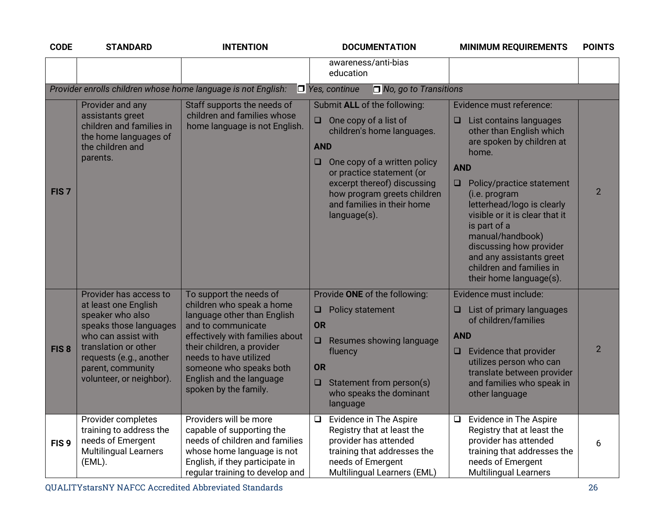| <b>CODE</b>      | <b>STANDARD</b>                                                                                                                                                                                                         | <b>INTENTION</b>                                                                                                                                                                                                                                                                     | <b>DOCUMENTATION</b>                                                                                                                                                                                                                                                                      | <b>MINIMUM REQUIREMENTS</b>                                                                                                                                                                                                                                                                                                                                                                                             | <b>POINTS</b>  |
|------------------|-------------------------------------------------------------------------------------------------------------------------------------------------------------------------------------------------------------------------|--------------------------------------------------------------------------------------------------------------------------------------------------------------------------------------------------------------------------------------------------------------------------------------|-------------------------------------------------------------------------------------------------------------------------------------------------------------------------------------------------------------------------------------------------------------------------------------------|-------------------------------------------------------------------------------------------------------------------------------------------------------------------------------------------------------------------------------------------------------------------------------------------------------------------------------------------------------------------------------------------------------------------------|----------------|
|                  |                                                                                                                                                                                                                         |                                                                                                                                                                                                                                                                                      | awareness/anti-bias<br>education                                                                                                                                                                                                                                                          |                                                                                                                                                                                                                                                                                                                                                                                                                         |                |
|                  |                                                                                                                                                                                                                         | Provider enrolls children whose home language is not English:                                                                                                                                                                                                                        | $\Box$ Yes, continue<br>$\Box$ No, go to Transitions                                                                                                                                                                                                                                      |                                                                                                                                                                                                                                                                                                                                                                                                                         |                |
| FIS <sub>7</sub> | Provider and any<br>assistants greet<br>children and families in<br>the home languages of<br>the children and<br>parents.                                                                                               | Staff supports the needs of<br>children and families whose<br>home language is not English.                                                                                                                                                                                          | Submit ALL of the following:<br>One copy of a list of<br>$\Box$<br>children's home languages.<br><b>AND</b><br>One copy of a written policy<br>u<br>or practice statement (or<br>excerpt thereof) discussing<br>how program greets children<br>and families in their home<br>language(s). | Evidence must reference:<br>List contains languages<br>$\Box$<br>other than English which<br>are spoken by children at<br>home.<br><b>AND</b><br>$\Box$<br>Policy/practice statement<br>(i.e. program<br>letterhead/logo is clearly<br>visible or it is clear that it<br>is part of a<br>manual/handbook)<br>discussing how provider<br>and any assistants greet<br>children and families in<br>their home language(s). | $\overline{2}$ |
| FIS <sub>8</sub> | Provider has access to<br>at least one English<br>speaker who also<br>speaks those languages<br>who can assist with<br>translation or other<br>requests (e.g., another<br>parent, community<br>volunteer, or neighbor). | To support the needs of<br>children who speak a home<br>language other than English<br>and to communicate<br>effectively with families about<br>their children, a provider<br>needs to have utilized<br>someone who speaks both<br>English and the language<br>spoken by the family. | Provide ONE of the following:<br><b>Policy statement</b><br>❏<br><b>OR</b><br>Resumes showing language<br>$\Box$<br>fluency<br><b>OR</b><br>Statement from person(s)<br>$\Box$<br>who speaks the dominant<br>language                                                                     | Evidence must include:<br>List of primary languages<br>❏<br>of children/families<br><b>AND</b><br>Evidence that provider<br>❏<br>utilizes person who can<br>translate between provider<br>and families who speak in<br>other language                                                                                                                                                                                   | $\overline{2}$ |
| FIS <sub>9</sub> | Provider completes<br>training to address the<br>needs of Emergent<br><b>Multilingual Learners</b><br>(EML).                                                                                                            | Providers will be more<br>capable of supporting the<br>needs of children and families<br>whose home language is not<br>English, if they participate in<br>regular training to develop and                                                                                            | Evidence in The Aspire<br>❏<br>Registry that at least the<br>provider has attended<br>training that addresses the<br>needs of Emergent<br>Multilingual Learners (EML)                                                                                                                     | Evidence in The Aspire<br>$\Box$<br>Registry that at least the<br>provider has attended<br>training that addresses the<br>needs of Emergent<br><b>Multilingual Learners</b>                                                                                                                                                                                                                                             | 6              |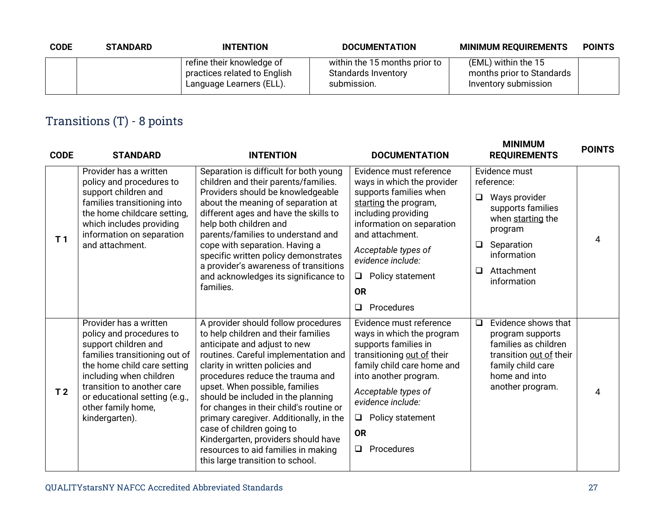| <b>CODE</b> | <b>STANDARD</b> | <b>INTENTION</b>                                                                      | <b>DOCUMENTATION</b>                                                       | <b>MINIMUM REQUIREMENTS</b>                                              | <b>POINTS</b> |
|-------------|-----------------|---------------------------------------------------------------------------------------|----------------------------------------------------------------------------|--------------------------------------------------------------------------|---------------|
|             |                 | refine their knowledge of<br>practices related to English<br>Language Learners (ELL). | within the 15 months prior to<br><b>Standards Inventory</b><br>submission. | (EML) within the 15<br>months prior to Standards<br>Inventory submission |               |

# Transitions (T) - 8 points

| <b>CODE</b>    | <b>STANDARD</b>                                                                                                                                                                                                                                                              | <b>INTENTION</b>                                                                                                                                                                                                                                                                                                                                                                                                                                                                                                                       | <b>DOCUMENTATION</b>                                                                                                                                                                                                                                                                 | <b>MINIMUM</b><br><b>REQUIREMENTS</b>                                                                                                                                                     | <b>POINTS</b> |
|----------------|------------------------------------------------------------------------------------------------------------------------------------------------------------------------------------------------------------------------------------------------------------------------------|----------------------------------------------------------------------------------------------------------------------------------------------------------------------------------------------------------------------------------------------------------------------------------------------------------------------------------------------------------------------------------------------------------------------------------------------------------------------------------------------------------------------------------------|--------------------------------------------------------------------------------------------------------------------------------------------------------------------------------------------------------------------------------------------------------------------------------------|-------------------------------------------------------------------------------------------------------------------------------------------------------------------------------------------|---------------|
| T <sub>1</sub> | Provider has a written<br>policy and procedures to<br>support children and<br>families transitioning into<br>the home childcare setting,<br>which includes providing<br>information on separation<br>and attachment.                                                         | Separation is difficult for both young<br>children and their parents/families.<br>Providers should be knowledgeable<br>about the meaning of separation at<br>different ages and have the skills to<br>help both children and<br>parents/families to understand and<br>cope with separation. Having a<br>specific written policy demonstrates<br>a provider's awareness of transitions<br>and acknowledges its significance to<br>families.                                                                                             | Evidence must reference<br>ways in which the provider<br>supports families when<br>starting the program,<br>including providing<br>information on separation<br>and attachment.<br>Acceptable types of<br>evidence include:<br>Policy statement<br>□<br><b>OR</b><br>Procedures<br>❏ | Evidence must<br>reference:<br>$\Box$<br>Ways provider<br>supports families<br>when starting the<br>program<br>Separation<br>$\Box$<br>information<br>Attachment<br>$\Box$<br>information | 4             |
| T <sub>2</sub> | Provider has a written<br>policy and procedures to<br>support children and<br>families transitioning out of<br>the home child care setting<br>including when children<br>transition to another care<br>or educational setting (e.g.,<br>other family home,<br>kindergarten). | A provider should follow procedures<br>to help children and their families<br>anticipate and adjust to new<br>routines. Careful implementation and<br>clarity in written policies and<br>procedures reduce the trauma and<br>upset. When possible, families<br>should be included in the planning<br>for changes in their child's routine or<br>primary caregiver. Additionally, in the<br>case of children going to<br>Kindergarten, providers should have<br>resources to aid families in making<br>this large transition to school. | Evidence must reference<br>ways in which the program<br>supports families in<br>transitioning out of their<br>family child care home and<br>into another program.<br>Acceptable types of<br>evidence include:<br>Policy statement<br>Q.<br><b>OR</b><br>Procedures<br>$\Box$         | Evidence shows that<br>$\Box$<br>program supports<br>families as children<br>transition out of their<br>family child care<br>home and into<br>another program.                            | 4             |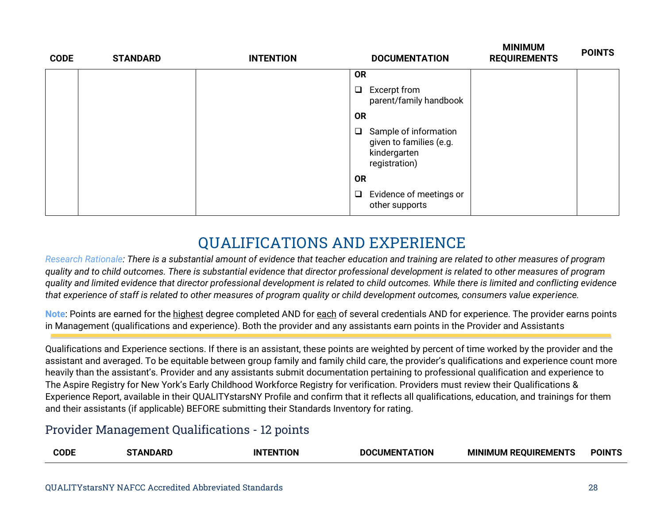| <b>CODE</b> | <b>STANDARD</b> | <b>INTENTION</b> | <b>DOCUMENTATION</b>                                                                        | <b>IVIIINIIVIUIVI</b><br><b>REQUIREMENTS</b> | <b>POINTS</b> |
|-------------|-----------------|------------------|---------------------------------------------------------------------------------------------|----------------------------------------------|---------------|
|             |                 |                  | <b>OR</b>                                                                                   |                                              |               |
|             |                 |                  | $\Box$<br>Excerpt from<br>parent/family handbook                                            |                                              |               |
|             |                 |                  | <b>OR</b>                                                                                   |                                              |               |
|             |                 |                  | Sample of information<br>$\Box$<br>given to families (e.g.<br>kindergarten<br>registration) |                                              |               |
|             |                 |                  | <b>OR</b>                                                                                   |                                              |               |
|             |                 |                  | Evidence of meetings or<br>$\Box$<br>other supports                                         |                                              |               |

# **QUALIFICATIONS AND EXPERIENCE**

*Research Rationale: There is a substantial amount of evidence that teacher education and training are related to other measures of program quality and to child outcomes. There is substantial evidence that director professional development is related to other measures of program quality and limited evidence that director professional development is related to child outcomes. While there is limited and conflicting evidence that experience of staff is related to other measures of program quality or child development outcomes, consumers value experience.*

**Note**: Points are earned for the highest degree completed AND for each of several credentials AND for experience. The provider earns points in Management (qualifications and experience). Both the provider and any assistants earn points in the Provider and Assistants

Qualifications and Experience sections. If there is an assistant, these points are weighted by percent of time worked by the provider and the assistant and averaged. To be equitable between group family and family child care, the provider's qualifications and experience count more heavily than the assistant's. Provider and any assistants submit documentation pertaining to professional qualification and experience to The Aspire Registry for New York's Early Childhood Workforce Registry for verification. Providers must review their Qualifications & Experience Report, available in their QUALITYstarsNY Profile and confirm that it reflects all qualifications, education, and trainings for them and their assistants (if applicable) BEFORE submitting their Standards Inventory for rating.

#### Provider Management Qualifications - 12 points

| . <b>. .</b> .<br><b>A REQUIREMENTS</b><br>'ODL<br><b>MINIMUM RE</b><br>DI<br>ıΝ<br>I IMFN<br>.IUN<br>л в<br>ON<br>m<br>the contract of the contract of the contract of the contract of the contract of the contract of the contract of |  |  |  |  |  | <b>POINTS</b> |
|-----------------------------------------------------------------------------------------------------------------------------------------------------------------------------------------------------------------------------------------|--|--|--|--|--|---------------|
|-----------------------------------------------------------------------------------------------------------------------------------------------------------------------------------------------------------------------------------------|--|--|--|--|--|---------------|

**MINIMUM**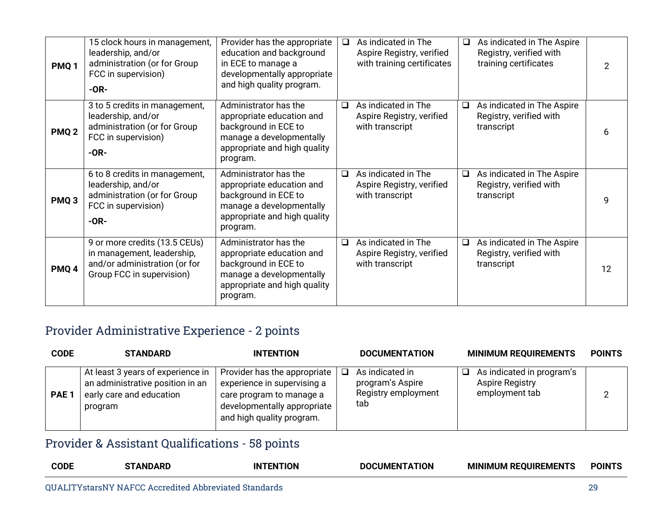| PMQ <sub>1</sub> | 15 clock hours in management,<br>leadership, and/or<br>administration (or for Group<br>FCC in supervision)<br>$-OR-$      | Provider has the appropriate<br>education and background<br>in ECE to manage a<br>developmentally appropriate<br>and high quality program.         | □      | As indicated in The<br>Aspire Registry, verified<br>with training certificates | $\Box$ | As indicated in The Aspire<br>Registry, verified with<br>training certificates | $\overline{2}$ |
|------------------|---------------------------------------------------------------------------------------------------------------------------|----------------------------------------------------------------------------------------------------------------------------------------------------|--------|--------------------------------------------------------------------------------|--------|--------------------------------------------------------------------------------|----------------|
| PMQ <sub>2</sub> | 3 to 5 credits in management,<br>leadership, and/or<br>administration (or for Group<br>FCC in supervision)<br>$-OR-$      | Administrator has the<br>appropriate education and<br>background in ECE to<br>manage a developmentally<br>appropriate and high quality<br>program. | $\Box$ | As indicated in The<br>Aspire Registry, verified<br>with transcript            | $\Box$ | As indicated in The Aspire<br>Registry, verified with<br>transcript            | 6              |
| PMQ <sub>3</sub> | 6 to 8 credits in management,<br>leadership, and/or<br>administration (or for Group<br>FCC in supervision)<br>$-OR-$      | Administrator has the<br>appropriate education and<br>background in ECE to<br>manage a developmentally<br>appropriate and high quality<br>program. | $\Box$ | As indicated in The<br>Aspire Registry, verified<br>with transcript            | $\Box$ | As indicated in The Aspire<br>Registry, verified with<br>transcript            | 9              |
| PMQ <sub>4</sub> | 9 or more credits (13.5 CEUs)<br>in management, leadership,<br>and/or administration (or for<br>Group FCC in supervision) | Administrator has the<br>appropriate education and<br>background in ECE to<br>manage a developmentally<br>appropriate and high quality<br>program. | $\Box$ | As indicated in The<br>Aspire Registry, verified<br>with transcript            | $\Box$ | As indicated in The Aspire<br>Registry, verified with<br>transcript            | 12             |

### Provider Administrative Experience - 2 points

| <b>CODE</b>      | <b>STANDARD</b>                                                                                              | <b>INTENTION</b>                                                                                                                                    | <b>DOCUMENTATION</b>                                              |   | <b>MINIMUM REQUIREMENTS</b>                                           | <b>POINTS</b> |
|------------------|--------------------------------------------------------------------------------------------------------------|-----------------------------------------------------------------------------------------------------------------------------------------------------|-------------------------------------------------------------------|---|-----------------------------------------------------------------------|---------------|
| PAE <sub>1</sub> | At least 3 years of experience in<br>an administrative position in an<br>early care and education<br>program | Provider has the appropriate<br>experience in supervising a<br>care program to manage a<br>developmentally appropriate<br>and high quality program. | As indicated in<br>program's Aspire<br>Registry employment<br>tab | ப | As indicated in program's<br><b>Aspire Registry</b><br>employment tab |               |

## Provider & Assistant Qualifications - 58 points

|  | <b>CODE</b> | ARL | <b>ENTION</b><br>ΙN | <b>DOCUMENTATION</b> | <b>MINIMUM REQUIRF</b><br>√EMEN.<br>ני ו | POINTS |
|--|-------------|-----|---------------------|----------------------|------------------------------------------|--------|
|--|-------------|-----|---------------------|----------------------|------------------------------------------|--------|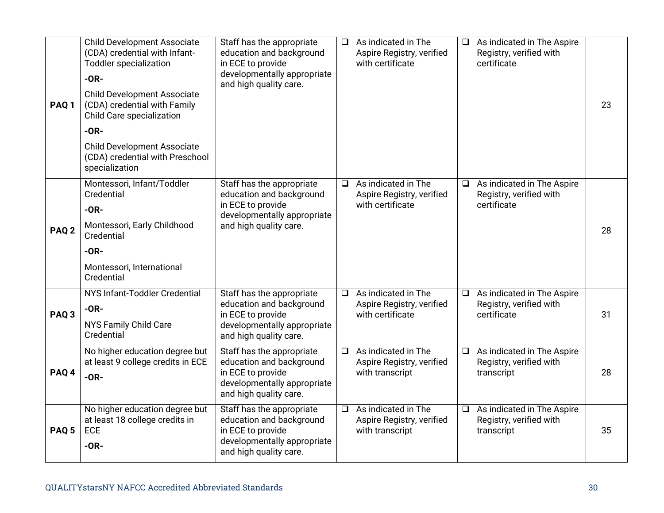| PAQ <sub>1</sub> | <b>Child Development Associate</b><br>(CDA) credential with Infant-<br><b>Toddler specialization</b><br>$-OR-$<br><b>Child Development Associate</b><br>(CDA) credential with Family<br>Child Care specialization | Staff has the appropriate<br>education and background<br>in ECE to provide<br>developmentally appropriate<br>and high quality care. | $\Box$ | As indicated in The<br>Aspire Registry, verified<br>with certificate | $\Box$ | As indicated in The Aspire<br>Registry, verified with<br>certificate | 23 |
|------------------|-------------------------------------------------------------------------------------------------------------------------------------------------------------------------------------------------------------------|-------------------------------------------------------------------------------------------------------------------------------------|--------|----------------------------------------------------------------------|--------|----------------------------------------------------------------------|----|
|                  | $-OR-$<br><b>Child Development Associate</b><br>(CDA) credential with Preschool<br>specialization                                                                                                                 |                                                                                                                                     |        |                                                                      |        |                                                                      |    |
| PAQ <sub>2</sub> | Montessori, Infant/Toddler<br>Credential<br>$-OR-$<br>Montessori, Early Childhood<br>Credential<br>$-OR-$<br>Montessori, International<br>Credential                                                              | Staff has the appropriate<br>education and background<br>in ECE to provide<br>developmentally appropriate<br>and high quality care. | $\Box$ | As indicated in The<br>Aspire Registry, verified<br>with certificate | $\Box$ | As indicated in The Aspire<br>Registry, verified with<br>certificate | 28 |
| PAQ <sub>3</sub> | NYS Infant-Toddler Credential<br>$-OR-$<br>NYS Family Child Care<br>Credential                                                                                                                                    | Staff has the appropriate<br>education and background<br>in ECE to provide<br>developmentally appropriate<br>and high quality care. | $\Box$ | As indicated in The<br>Aspire Registry, verified<br>with certificate | $\Box$ | As indicated in The Aspire<br>Registry, verified with<br>certificate | 31 |
| PAQ <sub>4</sub> | No higher education degree but<br>at least 9 college credits in ECE<br>$-OR-$                                                                                                                                     | Staff has the appropriate<br>education and background<br>in ECE to provide<br>developmentally appropriate<br>and high quality care. | $\Box$ | As indicated in The<br>Aspire Registry, verified<br>with transcript  | $\Box$ | As indicated in The Aspire<br>Registry, verified with<br>transcript  | 28 |
| PAQ <sub>5</sub> | No higher education degree but<br>at least 18 college credits in<br>ECE<br>$-OR-$                                                                                                                                 | Staff has the appropriate<br>education and background<br>in ECE to provide<br>developmentally appropriate<br>and high quality care. | ❏      | As indicated in The<br>Aspire Registry, verified<br>with transcript  | $\Box$ | As indicated in The Aspire<br>Registry, verified with<br>transcript  | 35 |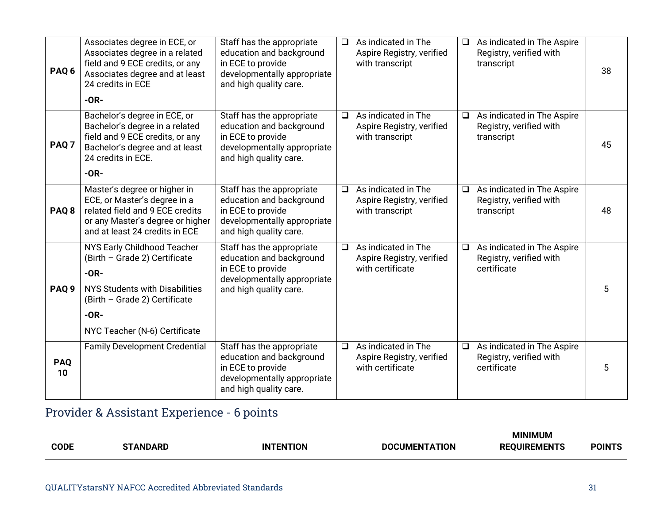| PAQ <sub>6</sub> | Associates degree in ECE, or<br>Associates degree in a related<br>field and 9 ECE credits, or any<br>Associates degree and at least<br>24 credits in ECE<br>$-OR-$                   | Staff has the appropriate<br>education and background<br>in ECE to provide<br>developmentally appropriate<br>and high quality care. | $\Box$ | As indicated in The<br>Aspire Registry, verified<br>with transcript  | $\Box$ | As indicated in The Aspire<br>Registry, verified with<br>transcript  | 38 |
|------------------|--------------------------------------------------------------------------------------------------------------------------------------------------------------------------------------|-------------------------------------------------------------------------------------------------------------------------------------|--------|----------------------------------------------------------------------|--------|----------------------------------------------------------------------|----|
| PAQ <sub>7</sub> | Bachelor's degree in ECE, or<br>Bachelor's degree in a related<br>field and 9 ECE credits, or any<br>Bachelor's degree and at least<br>24 credits in ECE.<br>$-OR-$                  | Staff has the appropriate<br>education and background<br>in ECE to provide<br>developmentally appropriate<br>and high quality care. | $\Box$ | As indicated in The<br>Aspire Registry, verified<br>with transcript  | $\Box$ | As indicated in The Aspire<br>Registry, verified with<br>transcript  | 45 |
| PAQ <sub>8</sub> | Master's degree or higher in<br>ECE, or Master's degree in a<br>related field and 9 ECE credits<br>or any Master's degree or higher<br>and at least 24 credits in ECE                | Staff has the appropriate<br>education and background<br>in ECE to provide<br>developmentally appropriate<br>and high quality care. | $\Box$ | As indicated in The<br>Aspire Registry, verified<br>with transcript  | $\Box$ | As indicated in The Aspire<br>Registry, verified with<br>transcript  | 48 |
| PAQ <sub>9</sub> | NYS Early Childhood Teacher<br>(Birth - Grade 2) Certificate<br>$-OR-$<br>NYS Students with Disabilities<br>(Birth - Grade 2) Certificate<br>$-OR-$<br>NYC Teacher (N-6) Certificate | Staff has the appropriate<br>education and background<br>in ECE to provide<br>developmentally appropriate<br>and high quality care. | $\Box$ | As indicated in The<br>Aspire Registry, verified<br>with certificate | $\Box$ | As indicated in The Aspire<br>Registry, verified with<br>certificate | 5  |
| <b>PAQ</b><br>10 | <b>Family Development Credential</b>                                                                                                                                                 | Staff has the appropriate<br>education and background<br>in ECE to provide<br>developmentally appropriate<br>and high quality care. | $\Box$ | As indicated in The<br>Aspire Registry, verified<br>with certificate | $\Box$ | As indicated in The Aspire<br>Registry, verified with<br>certificate | 5  |

# Provider & Assistant Experience - 6 points

|             |                      |                  |                                         | <b>MINIMUM</b>                                 |               |
|-------------|----------------------|------------------|-----------------------------------------|------------------------------------------------|---------------|
| <b>CODE</b> | <b>GANDARD</b><br>rп | <b>INTENTION</b> | TION<br><b>DOCLIMEN</b><br>$\mathbf{v}$ | . <del>.</del> .<br>DЕ<br><br>-N I :<br>.<br>. | <b>POINTS</b> |
|             |                      |                  |                                         |                                                |               |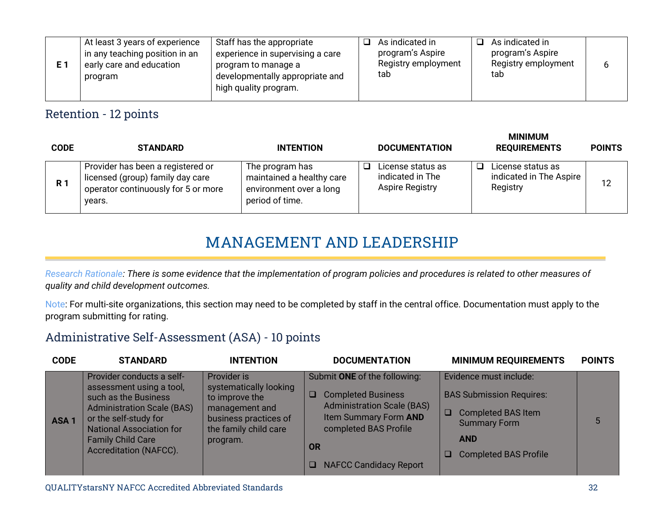|  | At least 3 years of experience<br>in any teaching position in an<br>early care and education<br>program | Staff has the appropriate<br>$\overline{ }$ experience in supervising a care<br>program to manage a<br>developmentally appropriate and<br>high quality program. |  | As indicated in<br>program's Aspire<br>Registry employment<br>tab |  | As indicated in<br>program's Aspire<br>Registry employment<br>tab |  |  |
|--|---------------------------------------------------------------------------------------------------------|-----------------------------------------------------------------------------------------------------------------------------------------------------------------|--|-------------------------------------------------------------------|--|-------------------------------------------------------------------|--|--|
|--|---------------------------------------------------------------------------------------------------------|-----------------------------------------------------------------------------------------------------------------------------------------------------------------|--|-------------------------------------------------------------------|--|-------------------------------------------------------------------|--|--|

#### Retention - 12 points

| <b>CODE</b>    | <b>STANDARD</b>                                                                                                        | <b>INTENTION</b>                                                                           | <b>DOCUMENTATION</b>                                     | <b>MINIMUM</b><br><b>REQUIREMENTS</b>                    | <b>POINTS</b> |
|----------------|------------------------------------------------------------------------------------------------------------------------|--------------------------------------------------------------------------------------------|----------------------------------------------------------|----------------------------------------------------------|---------------|
| R <sub>1</sub> | Provider has been a registered or<br>licensed (group) family day care<br>operator continuously for 5 or more<br>years. | The program has<br>maintained a healthy care<br>environment over a long<br>period of time. | License status as<br>indicated in The<br>Aspire Registry | License status as<br>indicated in The Aspire<br>Registry | 12            |

# **MANAGEMENT AND LEADERSHIP**

*Research Rationale: There is some evidence that the implementation of program policies and procedures is related to other measures of quality and child development outcomes.*

Note: For multi-site organizations, this section may need to be completed by staff in the central office. Documentation must apply to the program submitting for rating.

#### Administrative Self-Assessment (ASA) - 10 points

| <b>CODE</b>      | <b>STANDARD</b>                                                                                                                                                                                                                      | <b>INTENTION</b>                                                                                                                        | <b>DOCUMENTATION</b>                                                                                                                                                                              | <b>MINIMUM REQUIREMENTS</b>                                                                                                                                           | <b>POINTS</b> |
|------------------|--------------------------------------------------------------------------------------------------------------------------------------------------------------------------------------------------------------------------------------|-----------------------------------------------------------------------------------------------------------------------------------------|---------------------------------------------------------------------------------------------------------------------------------------------------------------------------------------------------|-----------------------------------------------------------------------------------------------------------------------------------------------------------------------|---------------|
| ASA <sub>1</sub> | Provider conducts a self-<br>assessment using a tool,<br>such as the Business<br><b>Administration Scale (BAS)</b><br>or the self-study for<br><b>National Association for</b><br><b>Family Child Care</b><br>Accreditation (NAFCC). | Provider is<br>systematically looking<br>to improve the<br>management and<br>business practices of<br>the family child care<br>program. | Submit ONE of the following:<br><b>Completed Business</b><br>$\Box$<br><b>Administration Scale (BAS)</b><br>Item Summary Form AND<br>completed BAS Profile<br>OR<br><b>NAFCC Candidacy Report</b> | Evidence must include:<br><b>BAS Submission Requires:</b><br><b>Completed BAS Item</b><br>$\Box$<br><b>Summary Form</b><br><b>AND</b><br><b>Completed BAS Profile</b> |               |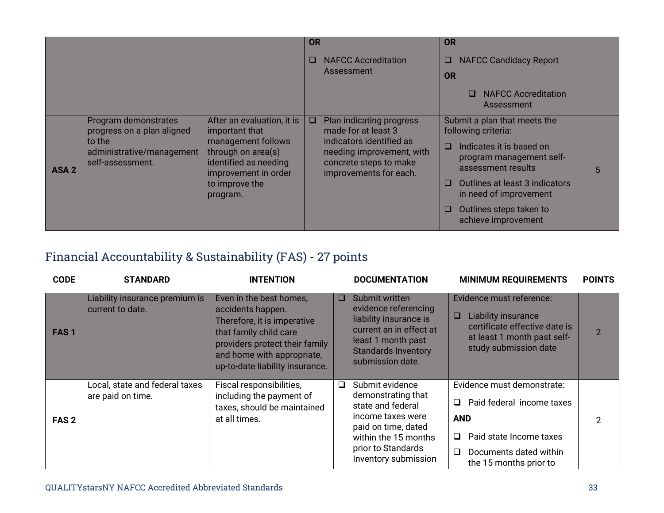|                  |                                                                                                               |                                                                                                                                           | <b>OR</b> |                                                                                                                                                              | <b>OR</b> |                                                                                                                                   |   |
|------------------|---------------------------------------------------------------------------------------------------------------|-------------------------------------------------------------------------------------------------------------------------------------------|-----------|--------------------------------------------------------------------------------------------------------------------------------------------------------------|-----------|-----------------------------------------------------------------------------------------------------------------------------------|---|
|                  |                                                                                                               |                                                                                                                                           | $\Box$    | <b>NAFCC Accreditation</b><br>Assessment                                                                                                                     | ⊔<br>OR   | <b>NAFCC Candidacy Report</b>                                                                                                     |   |
|                  |                                                                                                               |                                                                                                                                           |           |                                                                                                                                                              |           | <b>NAFCC Accreditation</b><br>Assessment                                                                                          |   |
| ASA <sub>2</sub> | Program demonstrates<br>progress on a plan aligned<br>to the<br>administrative/management<br>self-assessment. | After an evaluation, it is<br>important that<br>management follows<br>through on area(s)<br>identified as needing<br>improvement in order | O.        | Plan indicating progress<br>made for at least 3<br>indicators identified as<br>needing improvement, with<br>concrete steps to make<br>improvements for each. | $\Box$    | Submit a plan that meets the<br>following criteria:<br>Indicates it is based on<br>program management self-<br>assessment results | 5 |
|                  |                                                                                                               | to improve the<br>program.                                                                                                                |           |                                                                                                                                                              | ⊔         | Outlines at least 3 indicators<br>in need of improvement                                                                          |   |
|                  |                                                                                                               |                                                                                                                                           |           |                                                                                                                                                              | ப         | Outlines steps taken to<br>achieve improvement                                                                                    |   |

## Financial Accountability & Sustainability (FAS) - 27 points

| <b>CODE</b>      | <b>STANDARD</b>                                     | <b>INTENTION</b>                                                                                                                                                                                         |   | <b>DOCUMENTATION</b>                                                                                                                                                         | <b>MINIMUM REQUIREMENTS</b>                                                                                                                               | <b>POINTS</b>  |
|------------------|-----------------------------------------------------|----------------------------------------------------------------------------------------------------------------------------------------------------------------------------------------------------------|---|------------------------------------------------------------------------------------------------------------------------------------------------------------------------------|-----------------------------------------------------------------------------------------------------------------------------------------------------------|----------------|
| FAS <sub>1</sub> | Liability insurance premium is<br>current to date.  | Even in the best homes,<br>accidents happen.<br>Therefore, it is imperative<br>that family child care<br>providers protect their family<br>and home with appropriate,<br>up-to-date liability insurance. | □ | Submit written<br>evidence referencing<br>liability insurance is<br>current an in effect at<br>least 1 month past<br><b>Standards Inventory</b><br>submission date.          | Evidence must reference:<br><b>Liability insurance</b><br>certificate effective date is<br>at least 1 month past self-<br>study submission date           | $\overline{2}$ |
| FAS <sub>2</sub> | Local, state and federal taxes<br>are paid on time. | Fiscal responsibilities,<br>including the payment of<br>taxes, should be maintained<br>at all times.                                                                                                     | □ | Submit evidence<br>demonstrating that<br>state and federal<br>income taxes were<br>paid on time, dated<br>within the 15 months<br>prior to Standards<br>Inventory submission | Evidence must demonstrate:<br>Paid federal income taxes<br><b>AND</b><br>Paid state Income taxes<br>Documents dated within<br>□<br>the 15 months prior to | 2              |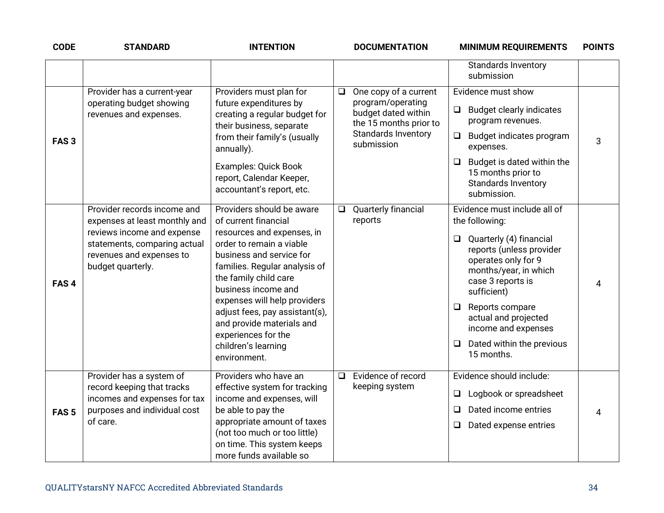| <b>CODE</b>      | <b>STANDARD</b>                                                                                                                                                             | <b>INTENTION</b>                                                                                                                                                                                                                                                                                                                                                                      | <b>DOCUMENTATION</b>                                                                                                                       | <b>MINIMUM REQUIREMENTS</b>                                                                                                                                                                                                                                                                                                | <b>POINTS</b> |
|------------------|-----------------------------------------------------------------------------------------------------------------------------------------------------------------------------|---------------------------------------------------------------------------------------------------------------------------------------------------------------------------------------------------------------------------------------------------------------------------------------------------------------------------------------------------------------------------------------|--------------------------------------------------------------------------------------------------------------------------------------------|----------------------------------------------------------------------------------------------------------------------------------------------------------------------------------------------------------------------------------------------------------------------------------------------------------------------------|---------------|
|                  |                                                                                                                                                                             |                                                                                                                                                                                                                                                                                                                                                                                       |                                                                                                                                            | Standards Inventory<br>submission                                                                                                                                                                                                                                                                                          |               |
| FAS <sub>3</sub> | Provider has a current-year<br>operating budget showing<br>revenues and expenses.                                                                                           | Providers must plan for<br>future expenditures by<br>creating a regular budget for<br>their business, separate<br>from their family's (usually<br>annually).<br><b>Examples: Quick Book</b><br>report, Calendar Keeper,<br>accountant's report, etc.                                                                                                                                  | One copy of a current<br>$\Box$<br>program/operating<br>budget dated within<br>the 15 months prior to<br>Standards Inventory<br>submission | Evidence must show<br><b>Budget clearly indicates</b><br>❏<br>program revenues.<br>$\Box$ Budget indicates program<br>expenses.<br>Budget is dated within the<br>$\Box$<br>15 months prior to<br>Standards Inventory<br>submission.                                                                                        | 3             |
| FAS <sub>4</sub> | Provider records income and<br>expenses at least monthly and<br>reviews income and expense<br>statements, comparing actual<br>revenues and expenses to<br>budget quarterly. | Providers should be aware<br>of current financial<br>resources and expenses, in<br>order to remain a viable<br>business and service for<br>families. Regular analysis of<br>the family child care<br>business income and<br>expenses will help providers<br>adjust fees, pay assistant(s),<br>and provide materials and<br>experiences for the<br>children's learning<br>environment. | Quarterly financial<br>$\Box$<br>reports                                                                                                   | Evidence must include all of<br>the following:<br>Quarterly (4) financial<br>$\Box$<br>reports (unless provider<br>operates only for 9<br>months/year, in which<br>case 3 reports is<br>sufficient)<br>Reports compare<br>$\Box$<br>actual and projected<br>income and expenses<br>Dated within the previous<br>15 months. | 4             |
| FAS <sub>5</sub> | Provider has a system of<br>record keeping that tracks<br>incomes and expenses for tax<br>purposes and individual cost<br>of care.                                          | Providers who have an<br>effective system for tracking<br>income and expenses, will<br>be able to pay the<br>appropriate amount of taxes<br>(not too much or too little)<br>on time. This system keeps<br>more funds available so                                                                                                                                                     | Evidence of record<br>$\Box$<br>keeping system                                                                                             | Evidence should include:<br>Logbook or spreadsheet<br>$\Box$<br>Dated income entries<br>$\Box$<br>Dated expense entries<br>$\Box$                                                                                                                                                                                          | 4             |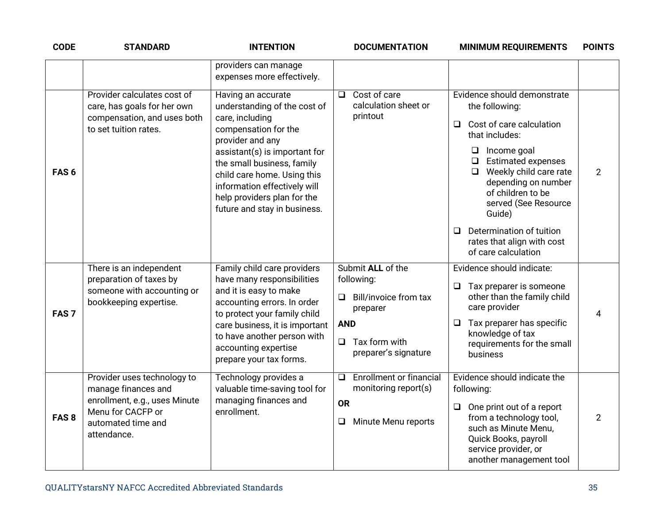| <b>CODE</b>      | <b>STANDARD</b>                                                                                                                               | <b>INTENTION</b>                                                                                                                                                                                                                                                                                               | <b>DOCUMENTATION</b>                                                                                                                    | <b>MINIMUM REQUIREMENTS</b>                                                                                                                                                                                                                                                                                                                                      | <b>POINTS</b>  |
|------------------|-----------------------------------------------------------------------------------------------------------------------------------------------|----------------------------------------------------------------------------------------------------------------------------------------------------------------------------------------------------------------------------------------------------------------------------------------------------------------|-----------------------------------------------------------------------------------------------------------------------------------------|------------------------------------------------------------------------------------------------------------------------------------------------------------------------------------------------------------------------------------------------------------------------------------------------------------------------------------------------------------------|----------------|
|                  |                                                                                                                                               | providers can manage<br>expenses more effectively.                                                                                                                                                                                                                                                             |                                                                                                                                         |                                                                                                                                                                                                                                                                                                                                                                  |                |
| FAS <sub>6</sub> | Provider calculates cost of<br>care, has goals for her own<br>compensation, and uses both<br>to set tuition rates.                            | Having an accurate<br>understanding of the cost of<br>care, including<br>compensation for the<br>provider and any<br>assistant(s) is important for<br>the small business, family<br>child care home. Using this<br>information effectively will<br>help providers plan for the<br>future and stay in business. | Cost of care<br>□<br>calculation sheet or<br>printout                                                                                   | Evidence should demonstrate<br>the following:<br>Cost of care calculation<br>$\Box$<br>that includes:<br>$\Box$ Income goal<br>$\Box$ Estimated expenses<br>Weekly child care rate<br>$\Box$<br>depending on number<br>of children to be<br>served (See Resource<br>Guide)<br>Determination of tuition<br>□<br>rates that align with cost<br>of care calculation | $\overline{2}$ |
| FAS <sub>7</sub> | There is an independent<br>preparation of taxes by<br>someone with accounting or<br>bookkeeping expertise.                                    | Family child care providers<br>have many responsibilities<br>and it is easy to make<br>accounting errors. In order<br>to protect your family child<br>care business, it is important<br>to have another person with<br>accounting expertise<br>prepare your tax forms.                                         | Submit ALL of the<br>following:<br>Bill/invoice from tax<br>❏<br>preparer<br><b>AND</b><br>$\Box$ Tax form with<br>preparer's signature | Evidence should indicate:<br>Tax preparer is someone<br>$\Box$<br>other than the family child<br>care provider<br>Tax preparer has specific<br>$\Box$<br>knowledge of tax<br>requirements for the small<br>business                                                                                                                                              | 4              |
| FAS <sub>8</sub> | Provider uses technology to<br>manage finances and<br>enrollment, e.g., uses Minute<br>Menu for CACFP or<br>automated time and<br>attendance. | Technology provides a<br>valuable time-saving tool for<br>managing finances and<br>enrollment.                                                                                                                                                                                                                 | <b>Enrollment or financial</b><br>❏<br>monitoring report(s)<br><b>OR</b><br>Minute Menu reports<br>$\Box$                               | Evidence should indicate the<br>following:<br>One print out of a report<br>$\Box$<br>from a technology tool,<br>such as Minute Menu,<br>Quick Books, payroll<br>service provider, or<br>another management tool                                                                                                                                                  | $\overline{2}$ |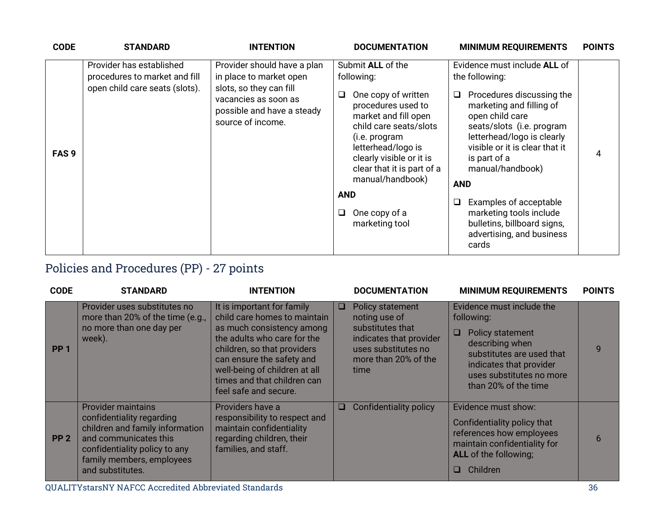| <b>CODE</b>      | <b>STANDARD</b>                                                                             | <b>INTENTION</b>                                                                                                                                             | <b>DOCUMENTATION</b>                                                                                                                                                                                                                                                                                           | <b>MINIMUM REQUIREMENTS</b>                                                                                                                                                                                                                                                                                                                                                                                        | <b>POINTS</b> |
|------------------|---------------------------------------------------------------------------------------------|--------------------------------------------------------------------------------------------------------------------------------------------------------------|----------------------------------------------------------------------------------------------------------------------------------------------------------------------------------------------------------------------------------------------------------------------------------------------------------------|--------------------------------------------------------------------------------------------------------------------------------------------------------------------------------------------------------------------------------------------------------------------------------------------------------------------------------------------------------------------------------------------------------------------|---------------|
| FAS <sub>9</sub> | Provider has established<br>procedures to market and fill<br>open child care seats (slots). | Provider should have a plan<br>in place to market open<br>slots, so they can fill<br>vacancies as soon as<br>possible and have a steady<br>source of income. | Submit ALL of the<br>following:<br>One copy of written<br>⊔<br>procedures used to<br>market and fill open<br>child care seats/slots<br>(i.e. program<br>letterhead/logo is<br>clearly visible or it is<br>clear that it is part of a<br>manual/handbook)<br><b>AND</b><br>One copy of a<br>❏<br>marketing tool | Evidence must include ALL of<br>the following:<br>Procedures discussing the<br>$\Box$<br>marketing and filling of<br>open child care<br>seats/slots (i.e. program<br>letterhead/logo is clearly<br>visible or it is clear that it<br>is part of a<br>manual/handbook)<br><b>AND</b><br>Examples of acceptable<br>❏<br>marketing tools include<br>bulletins, billboard signs,<br>advertising, and business<br>cards | 4             |

# Policies and Procedures (PP) - 27 points

| <b>CODE</b>     | <b>STANDARD</b>                                                                                                                                                                                      | <b>INTENTION</b>                                                                                                                                                                                                                                                            |   | <b>DOCUMENTATION</b>                                                                                                                    | <b>MINIMUM REQUIREMENTS</b>                                                                                                                                                                            | <b>POINTS</b> |
|-----------------|------------------------------------------------------------------------------------------------------------------------------------------------------------------------------------------------------|-----------------------------------------------------------------------------------------------------------------------------------------------------------------------------------------------------------------------------------------------------------------------------|---|-----------------------------------------------------------------------------------------------------------------------------------------|--------------------------------------------------------------------------------------------------------------------------------------------------------------------------------------------------------|---------------|
| PP <sub>1</sub> | Provider uses substitutes no<br>more than 20% of the time (e.g.,<br>no more than one day per<br>week).                                                                                               | It is important for family<br>child care homes to maintain<br>as much consistency among<br>the adults who care for the<br>children, so that providers<br>can ensure the safety and<br>well-being of children at all<br>times and that children can<br>feel safe and secure. | ш | Policy statement<br>noting use of<br>substitutes that<br>indicates that provider<br>uses substitutes no<br>more than 20% of the<br>time | Evidence must include the<br>following:<br><b>Policy statement</b><br>O<br>describing when<br>substitutes are used that<br>indicates that provider<br>uses substitutes no more<br>than 20% of the time | $\mathbf{Q}$  |
| PP <sub>2</sub> | <b>Provider maintains</b><br>confidentiality regarding<br>children and family information<br>and communicates this<br>confidentiality policy to any<br>family members, employees<br>and substitutes. | Providers have a<br>responsibility to respect and<br>maintain confidentiality<br>regarding children, their<br>families, and staff.                                                                                                                                          | u | Confidentiality policy                                                                                                                  | Evidence must show:<br>Confidentiality policy that<br>references how employees<br>maintain confidentiality for<br><b>ALL</b> of the following;<br>Children<br>O.                                       | 6             |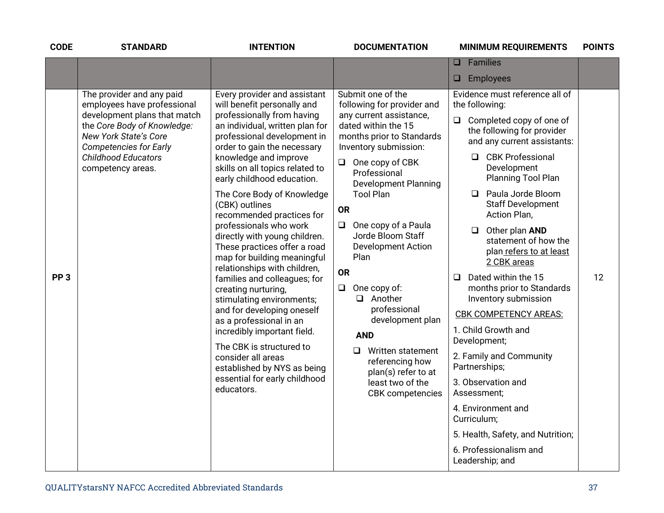| <b>CODE</b>     | <b>STANDARD</b>                                                                                                                                                                                                                      | <b>INTENTION</b>                                                                                                                                                                                                                                                                                                                                                                                                                                                                                                                                                                                                                                                                                                                                                                                                                        | <b>DOCUMENTATION</b>                                                                                                                                                                                                                                                                                                                                                                                                                                                                                                                                                                       | <b>MINIMUM REQUIREMENTS</b>                                                                                                                                                                                                                                                                                                                                                                                                                                                                                                                                                                                                                                                                                                                                            | <b>POINTS</b> |
|-----------------|--------------------------------------------------------------------------------------------------------------------------------------------------------------------------------------------------------------------------------------|-----------------------------------------------------------------------------------------------------------------------------------------------------------------------------------------------------------------------------------------------------------------------------------------------------------------------------------------------------------------------------------------------------------------------------------------------------------------------------------------------------------------------------------------------------------------------------------------------------------------------------------------------------------------------------------------------------------------------------------------------------------------------------------------------------------------------------------------|--------------------------------------------------------------------------------------------------------------------------------------------------------------------------------------------------------------------------------------------------------------------------------------------------------------------------------------------------------------------------------------------------------------------------------------------------------------------------------------------------------------------------------------------------------------------------------------------|------------------------------------------------------------------------------------------------------------------------------------------------------------------------------------------------------------------------------------------------------------------------------------------------------------------------------------------------------------------------------------------------------------------------------------------------------------------------------------------------------------------------------------------------------------------------------------------------------------------------------------------------------------------------------------------------------------------------------------------------------------------------|---------------|
|                 |                                                                                                                                                                                                                                      |                                                                                                                                                                                                                                                                                                                                                                                                                                                                                                                                                                                                                                                                                                                                                                                                                                         |                                                                                                                                                                                                                                                                                                                                                                                                                                                                                                                                                                                            | Families<br>□                                                                                                                                                                                                                                                                                                                                                                                                                                                                                                                                                                                                                                                                                                                                                          |               |
|                 |                                                                                                                                                                                                                                      |                                                                                                                                                                                                                                                                                                                                                                                                                                                                                                                                                                                                                                                                                                                                                                                                                                         |                                                                                                                                                                                                                                                                                                                                                                                                                                                                                                                                                                                            | $\Box$<br>Employees                                                                                                                                                                                                                                                                                                                                                                                                                                                                                                                                                                                                                                                                                                                                                    |               |
| PP <sub>3</sub> | The provider and any paid<br>employees have professional<br>development plans that match<br>the Core Body of Knowledge:<br>New York State's Core<br><b>Competencies for Early</b><br><b>Childhood Educators</b><br>competency areas. | Every provider and assistant<br>will benefit personally and<br>professionally from having<br>an individual, written plan for<br>professional development in<br>order to gain the necessary<br>knowledge and improve<br>skills on all topics related to<br>early childhood education.<br>The Core Body of Knowledge<br>(CBK) outlines<br>recommended practices for<br>professionals who work<br>directly with young children.<br>These practices offer a road<br>map for building meaningful<br>relationships with children,<br>families and colleagues; for<br>creating nurturing,<br>stimulating environments;<br>and for developing oneself<br>as a professional in an<br>incredibly important field.<br>The CBK is structured to<br>consider all areas<br>established by NYS as being<br>essential for early childhood<br>educators. | Submit one of the<br>following for provider and<br>any current assistance,<br>dated within the 15<br>months prior to Standards<br>Inventory submission:<br>$\Box$ One copy of CBK<br>Professional<br><b>Development Planning</b><br><b>Tool Plan</b><br><b>OR</b><br>One copy of a Paula<br>$\Box$<br>Jorde Bloom Staff<br><b>Development Action</b><br>Plan<br><b>OR</b><br>One copy of:<br>$\Box$<br>$\Box$ Another<br>professional<br>development plan<br><b>AND</b><br>Written statement<br>◻<br>referencing how<br>plan(s) refer to at<br>least two of the<br><b>CBK</b> competencies | Evidence must reference all of<br>the following:<br>Completed copy of one of<br>Q<br>the following for provider<br>and any current assistants:<br><b>CBK Professional</b><br>$\Box$<br>Development<br>Planning Tool Plan<br>Paula Jorde Bloom<br>$\Box$<br><b>Staff Development</b><br>Action Plan,<br>Other plan AND<br>$\Box$<br>statement of how the<br>plan refers to at least<br>2 CBK areas<br>Dated within the 15<br>$\Box$<br>months prior to Standards<br>Inventory submission<br><b>CBK COMPETENCY AREAS:</b><br>1. Child Growth and<br>Development;<br>2. Family and Community<br>Partnerships;<br>3. Observation and<br>Assessment;<br>4. Environment and<br>Curriculum;<br>5. Health, Safety, and Nutrition;<br>6. Professionalism and<br>Leadership; and | 12            |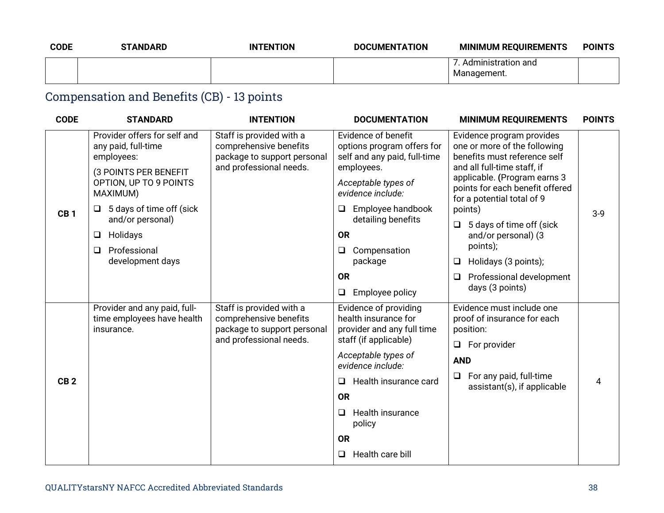| <b>CODE</b> | <b>STANDARD</b> | <b>INTENTION</b> | <b>DOCUMENTATION</b> | <b>MINIMUM REQUIREMENTS</b>         | <b>POINTS</b> |
|-------------|-----------------|------------------|----------------------|-------------------------------------|---------------|
|             |                 |                  |                      | . Administration and<br>Management. |               |

# Compensation and Benefits (CB) - 13 points

| <b>CODE</b>     | <b>STANDARD</b>                                                                            | <b>INTENTION</b>                                                                                             | <b>DOCUMENTATION</b>                                                                                 | <b>MINIMUM REQUIREMENTS</b>                                                                                                                                                                                                                                                                       | <b>POINTS</b> |
|-----------------|--------------------------------------------------------------------------------------------|--------------------------------------------------------------------------------------------------------------|------------------------------------------------------------------------------------------------------|---------------------------------------------------------------------------------------------------------------------------------------------------------------------------------------------------------------------------------------------------------------------------------------------------|---------------|
|                 | Provider offers for self and<br>any paid, full-time<br>employees:<br>(3 POINTS PER BENEFIT | Staff is provided with a<br>comprehensive benefits<br>package to support personal<br>and professional needs. | Evidence of benefit<br>options program offers for<br>self and any paid, full-time<br>employees.      | Evidence program provides<br>one or more of the following<br>benefits must reference self<br>and all full-time staff, if<br>applicable. (Program earns 3<br>points for each benefit offered<br>for a potential total of 9<br>points)<br>5 days of time off (sick<br>$\Box$<br>and/or personal) (3 | $3-9$         |
|                 | OPTION, UP TO 9 POINTS<br>MAXIMUM)                                                         |                                                                                                              | Acceptable types of<br>evidence include:                                                             |                                                                                                                                                                                                                                                                                                   |               |
| CB <sub>1</sub> | 5 days of time off (sick<br>and/or personal)                                               |                                                                                                              | Employee handbook<br>❏<br>detailing benefits                                                         |                                                                                                                                                                                                                                                                                                   |               |
|                 | Holidays<br>⊔                                                                              |                                                                                                              | <b>OR</b>                                                                                            |                                                                                                                                                                                                                                                                                                   |               |
|                 | Professional<br>⊔<br>development days                                                      |                                                                                                              | Compensation<br>u<br>package                                                                         | points);<br>Holidays (3 points);<br>□                                                                                                                                                                                                                                                             |               |
|                 |                                                                                            |                                                                                                              | <b>OR</b>                                                                                            | Professional development<br>$\Box$<br>days (3 points)                                                                                                                                                                                                                                             |               |
|                 |                                                                                            |                                                                                                              | Employee policy<br>❏                                                                                 |                                                                                                                                                                                                                                                                                                   |               |
|                 | Provider and any paid, full-<br>time employees have health<br>insurance.                   | Staff is provided with a<br>comprehensive benefits<br>package to support personal<br>and professional needs. | Evidence of providing<br>health insurance for<br>provider and any full time<br>staff (if applicable) | Evidence must include one<br>proof of insurance for each<br>position:                                                                                                                                                                                                                             |               |
|                 |                                                                                            |                                                                                                              |                                                                                                      | For provider<br>$\Box$                                                                                                                                                                                                                                                                            |               |
|                 |                                                                                            |                                                                                                              | Acceptable types of<br>evidence include:                                                             | <b>AND</b>                                                                                                                                                                                                                                                                                        |               |
| CB <sub>2</sub> |                                                                                            |                                                                                                              | Health insurance card<br>□                                                                           | For any paid, full-time<br>❏<br>assistant(s), if applicable                                                                                                                                                                                                                                       | 4             |
|                 |                                                                                            |                                                                                                              | <b>OR</b>                                                                                            |                                                                                                                                                                                                                                                                                                   |               |
|                 |                                                                                            |                                                                                                              | <b>Health insurance</b><br>$\Box$<br>policy                                                          |                                                                                                                                                                                                                                                                                                   |               |
|                 |                                                                                            |                                                                                                              | <b>OR</b>                                                                                            |                                                                                                                                                                                                                                                                                                   |               |
|                 |                                                                                            |                                                                                                              | Health care bill<br>$\Box$                                                                           |                                                                                                                                                                                                                                                                                                   |               |